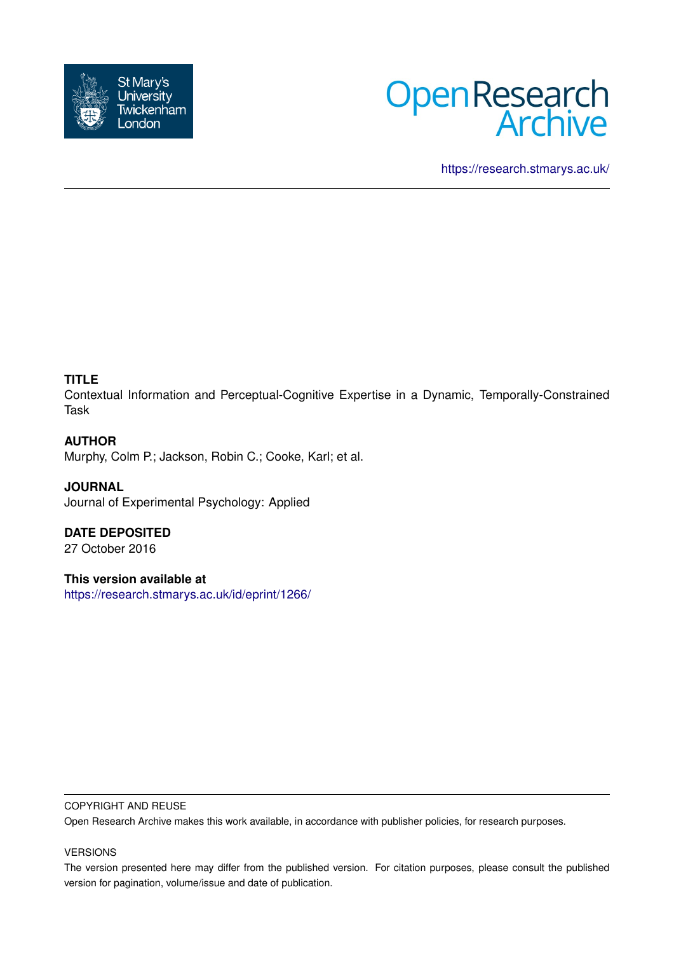



<https://research.stmarys.ac.uk/>

# **TITLE**

Contextual Information and Perceptual-Cognitive Expertise in a Dynamic, Temporally-Constrained Task

# **AUTHOR**

Murphy, Colm P.; Jackson, Robin C.; Cooke, Karl; et al.

# **JOURNAL**

Journal of Experimental Psychology: Applied

# **DATE DEPOSITED**

27 October 2016

# **This version available at**

<https://research.stmarys.ac.uk/id/eprint/1266/>

#### COPYRIGHT AND REUSE

Open Research Archive makes this work available, in accordance with publisher policies, for research purposes.

# VERSIONS

The version presented here may differ from the published version. For citation purposes, please consult the published version for pagination, volume/issue and date of publication.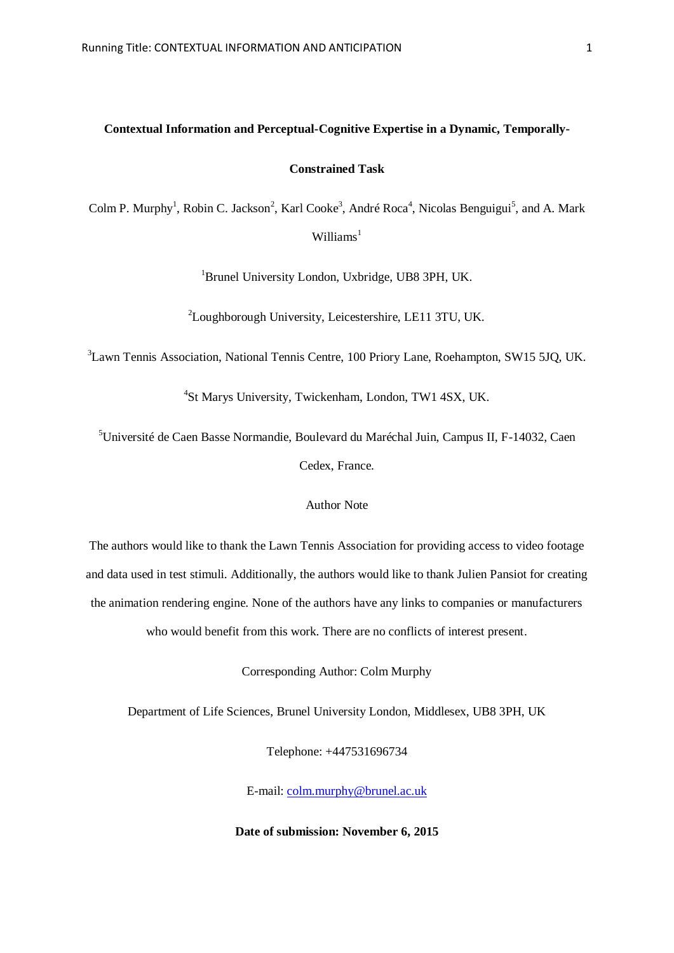# **Contextual Information and Perceptual-Cognitive Expertise in a Dynamic, Temporally-**

# **Constrained Task**

Colm P. Murphy<sup>1</sup>, Robin C. Jackson<sup>2</sup>, Karl Cooke<sup>3</sup>, André Roca<sup>4</sup>, Nicolas Benguigui<sup>5</sup>, and A. Mark  $W$ illiams<sup>1</sup>

<sup>1</sup>Brunel University London, Uxbridge, UB8 3PH, UK.

<sup>2</sup>Loughborough University, Leicestershire, LE11 3TU, UK.

<sup>3</sup>Lawn Tennis Association, National Tennis Centre, 100 Priory Lane, Roehampton, SW15 5JQ, UK.

4 St Marys University, Twickenham, London, TW1 4SX, UK.

<sup>5</sup>Université de Caen Basse Normandie, Boulevard du Maréchal Juin, Campus II, F-14032, Caen Cedex, France.

## Author Note

The authors would like to thank the Lawn Tennis Association for providing access to video footage and data used in test stimuli. Additionally, the authors would like to thank Julien Pansiot for creating the animation rendering engine. None of the authors have any links to companies or manufacturers who would benefit from this work. There are no conflicts of interest present.

Corresponding Author: Colm Murphy

Department of Life Sciences, Brunel University London, Middlesex, UB8 3PH, UK

Telephone: +447531696734

E-mail: [colm.murphy@brunel.ac.uk](mailto:colm.murphy@brunel.ac.uk)

**Date of submission: November 6, 2015**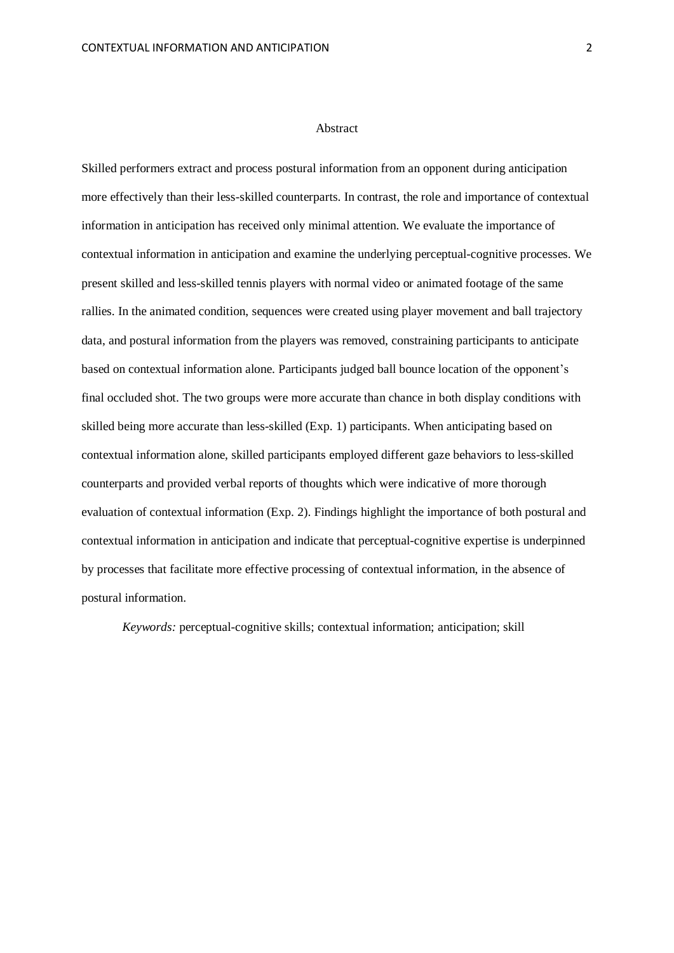#### Abstract

Skilled performers extract and process postural information from an opponent during anticipation more effectively than their less-skilled counterparts. In contrast, the role and importance of contextual information in anticipation has received only minimal attention. We evaluate the importance of contextual information in anticipation and examine the underlying perceptual-cognitive processes. We present skilled and less-skilled tennis players with normal video or animated footage of the same rallies. In the animated condition, sequences were created using player movement and ball trajectory data, and postural information from the players was removed, constraining participants to anticipate based on contextual information alone. Participants judged ball bounce location of the opponent's final occluded shot. The two groups were more accurate than chance in both display conditions with skilled being more accurate than less-skilled (Exp. 1) participants. When anticipating based on contextual information alone, skilled participants employed different gaze behaviors to less-skilled counterparts and provided verbal reports of thoughts which were indicative of more thorough evaluation of contextual information (Exp. 2). Findings highlight the importance of both postural and contextual information in anticipation and indicate that perceptual-cognitive expertise is underpinned by processes that facilitate more effective processing of contextual information, in the absence of postural information.

*Keywords:* perceptual-cognitive skills; contextual information; anticipation; skill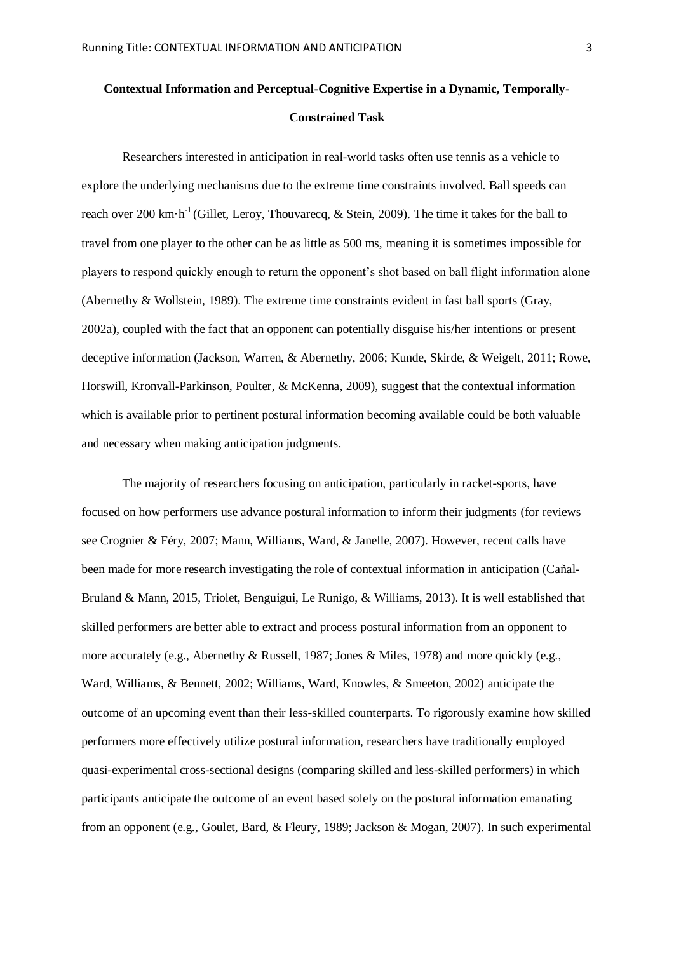# **Contextual Information and Perceptual-Cognitive Expertise in a Dynamic, Temporally-Constrained Task**

Researchers interested in anticipation in real-world tasks often use tennis as a vehicle to explore the underlying mechanisms due to the extreme time constraints involved. Ball speeds can reach over 200 km $\cdot$ h<sup>-1</sup> (Gillet, Leroy, Thouvarecq, & Stein, 2009). The time it takes for the ball to travel from one player to the other can be as little as 500 ms, meaning it is sometimes impossible for players to respond quickly enough to return the opponent's shot based on ball flight information alone (Abernethy & Wollstein, 1989). The extreme time constraints evident in fast ball sports (Gray, 2002a), coupled with the fact that an opponent can potentially disguise his/her intentions or present deceptive information (Jackson, Warren, & Abernethy, 2006; Kunde, Skirde, & Weigelt, 2011; Rowe, Horswill, Kronvall-Parkinson, Poulter, & McKenna, 2009), suggest that the contextual information which is available prior to pertinent postural information becoming available could be both valuable and necessary when making anticipation judgments.

The majority of researchers focusing on anticipation, particularly in racket-sports, have focused on how performers use advance postural information to inform their judgments (for reviews see Crognier & Féry, 2007; Mann, Williams, Ward, & Janelle, 2007). However, recent calls have been made for more research investigating the role of contextual information in anticipation (Cañal-Bruland & Mann, 2015, Triolet, Benguigui, Le Runigo, & Williams, 2013). It is well established that skilled performers are better able to extract and process postural information from an opponent to more accurately (e.g., Abernethy & Russell, 1987; Jones & Miles, 1978) and more quickly (e.g., Ward, Williams, & Bennett, 2002; Williams, Ward, Knowles, & Smeeton, 2002) anticipate the outcome of an upcoming event than their less-skilled counterparts. To rigorously examine how skilled performers more effectively utilize postural information, researchers have traditionally employed quasi-experimental cross-sectional designs (comparing skilled and less-skilled performers) in which participants anticipate the outcome of an event based solely on the postural information emanating from an opponent (e.g., Goulet, Bard, & Fleury, 1989; Jackson & Mogan, 2007). In such experimental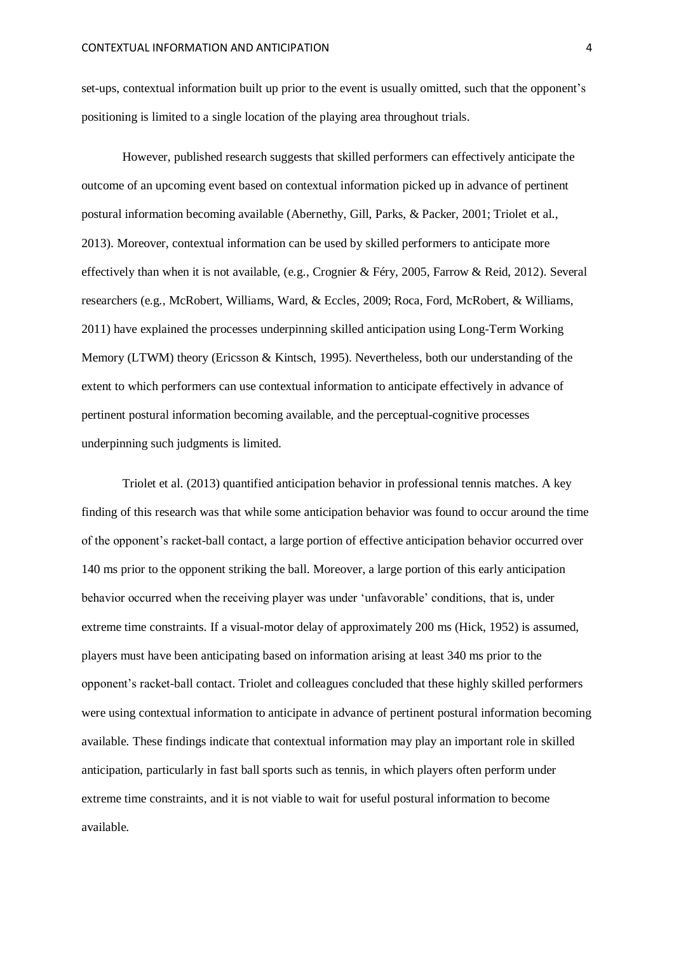set-ups, contextual information built up prior to the event is usually omitted, such that the opponent's positioning is limited to a single location of the playing area throughout trials.

However, published research suggests that skilled performers can effectively anticipate the outcome of an upcoming event based on contextual information picked up in advance of pertinent postural information becoming available (Abernethy, Gill, Parks, & Packer, 2001; Triolet et al., 2013). Moreover, contextual information can be used by skilled performers to anticipate more effectively than when it is not available, (e.g., Crognier & Féry, 2005, Farrow & Reid, 2012). Several researchers (e.g., McRobert, Williams, Ward, & Eccles, 2009; Roca, Ford, McRobert, & Williams, 2011) have explained the processes underpinning skilled anticipation using Long-Term Working Memory (LTWM) theory (Ericsson & Kintsch, 1995). Nevertheless, both our understanding of the extent to which performers can use contextual information to anticipate effectively in advance of pertinent postural information becoming available, and the perceptual-cognitive processes underpinning such judgments is limited.

Triolet et al. (2013) quantified anticipation behavior in professional tennis matches. A key finding of this research was that while some anticipation behavior was found to occur around the time of the opponent's racket-ball contact, a large portion of effective anticipation behavior occurred over 140 ms prior to the opponent striking the ball. Moreover, a large portion of this early anticipation behavior occurred when the receiving player was under 'unfavorable' conditions, that is, under extreme time constraints. If a visual-motor delay of approximately 200 ms (Hick, 1952) is assumed, players must have been anticipating based on information arising at least 340 ms prior to the opponent's racket-ball contact. Triolet and colleagues concluded that these highly skilled performers were using contextual information to anticipate in advance of pertinent postural information becoming available. These findings indicate that contextual information may play an important role in skilled anticipation, particularly in fast ball sports such as tennis, in which players often perform under extreme time constraints, and it is not viable to wait for useful postural information to become available.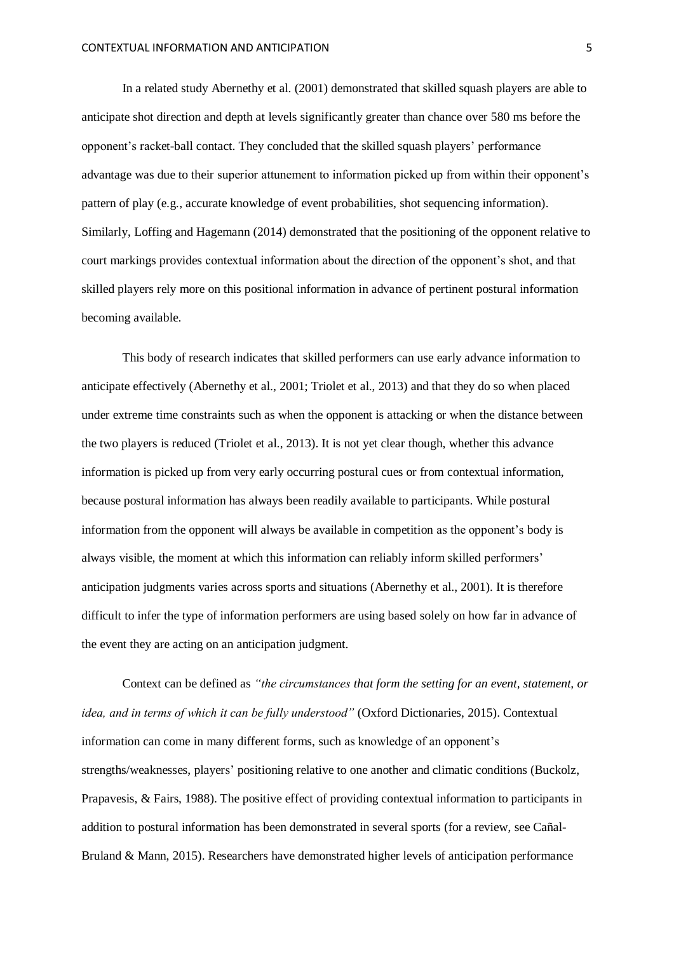In a related study Abernethy et al. (2001) demonstrated that skilled squash players are able to anticipate shot direction and depth at levels significantly greater than chance over 580 ms before the opponent's racket-ball contact. They concluded that the skilled squash players' performance advantage was due to their superior attunement to information picked up from within their opponent's pattern of play (e.g., accurate knowledge of event probabilities, shot sequencing information). Similarly, Loffing and Hagemann (2014) demonstrated that the positioning of the opponent relative to court markings provides contextual information about the direction of the opponent's shot, and that skilled players rely more on this positional information in advance of pertinent postural information becoming available.

This body of research indicates that skilled performers can use early advance information to anticipate effectively (Abernethy et al., 2001; Triolet et al., 2013) and that they do so when placed under extreme time constraints such as when the opponent is attacking or when the distance between the two players is reduced (Triolet et al., 2013). It is not yet clear though, whether this advance information is picked up from very early occurring postural cues or from contextual information, because postural information has always been readily available to participants. While postural information from the opponent will always be available in competition as the opponent's body is always visible, the moment at which this information can reliably inform skilled performers' anticipation judgments varies across sports and situations (Abernethy et al., 2001). It is therefore difficult to infer the type of information performers are using based solely on how far in advance of the event they are acting on an anticipation judgment.

Context can be defined as *"the circumstances that form the setting for an event, statement, or idea, and in terms of which it can be fully understood"* (Oxford Dictionaries, 2015). Contextual information can come in many different forms, such as knowledge of an opponent's strengths/weaknesses, players' positioning relative to one another and climatic conditions (Buckolz, Prapavesis, & Fairs, 1988). The positive effect of providing contextual information to participants in addition to postural information has been demonstrated in several sports (for a review, see Cañal-Bruland & Mann, 2015). Researchers have demonstrated higher levels of anticipation performance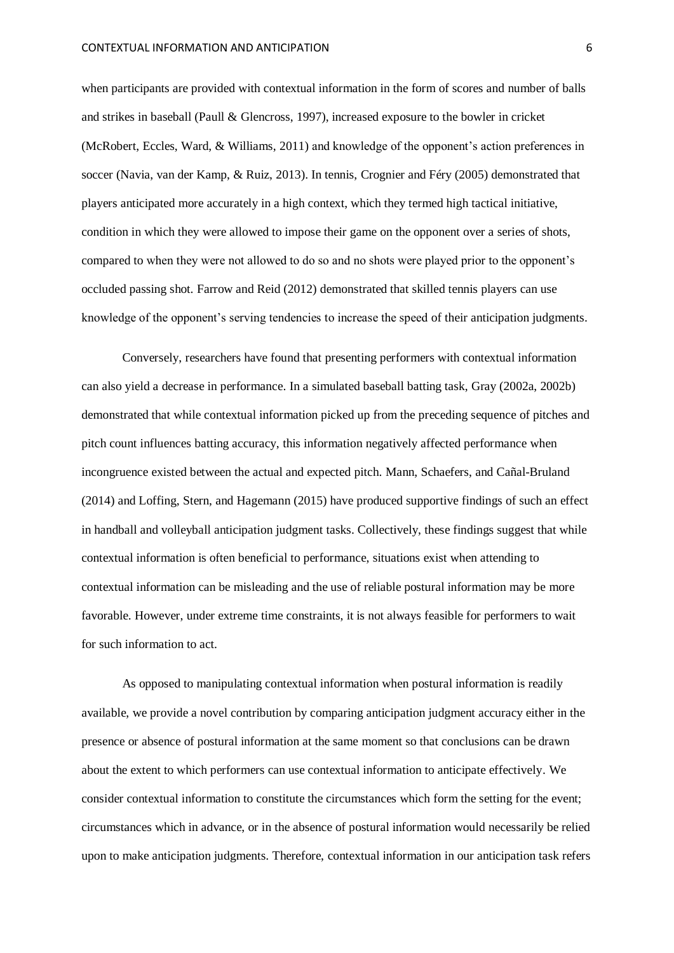when participants are provided with contextual information in the form of scores and number of balls and strikes in baseball (Paull & Glencross, 1997), increased exposure to the bowler in cricket (McRobert, Eccles, Ward, & Williams, 2011) and knowledge of the opponent's action preferences in soccer (Navia, van der Kamp, & Ruiz, 2013). In tennis, Crognier and Féry (2005) demonstrated that players anticipated more accurately in a high context, which they termed high tactical initiative, condition in which they were allowed to impose their game on the opponent over a series of shots, compared to when they were not allowed to do so and no shots were played prior to the opponent's occluded passing shot. Farrow and Reid (2012) demonstrated that skilled tennis players can use knowledge of the opponent's serving tendencies to increase the speed of their anticipation judgments.

Conversely, researchers have found that presenting performers with contextual information can also yield a decrease in performance. In a simulated baseball batting task, Gray (2002a, 2002b) demonstrated that while contextual information picked up from the preceding sequence of pitches and pitch count influences batting accuracy, this information negatively affected performance when incongruence existed between the actual and expected pitch. Mann, Schaefers, and Cañal-Bruland (2014) and Loffing, Stern, and Hagemann (2015) have produced supportive findings of such an effect in handball and volleyball anticipation judgment tasks. Collectively, these findings suggest that while contextual information is often beneficial to performance, situations exist when attending to contextual information can be misleading and the use of reliable postural information may be more favorable. However, under extreme time constraints, it is not always feasible for performers to wait for such information to act.

As opposed to manipulating contextual information when postural information is readily available, we provide a novel contribution by comparing anticipation judgment accuracy either in the presence or absence of postural information at the same moment so that conclusions can be drawn about the extent to which performers can use contextual information to anticipate effectively. We consider contextual information to constitute the circumstances which form the setting for the event; circumstances which in advance, or in the absence of postural information would necessarily be relied upon to make anticipation judgments. Therefore, contextual information in our anticipation task refers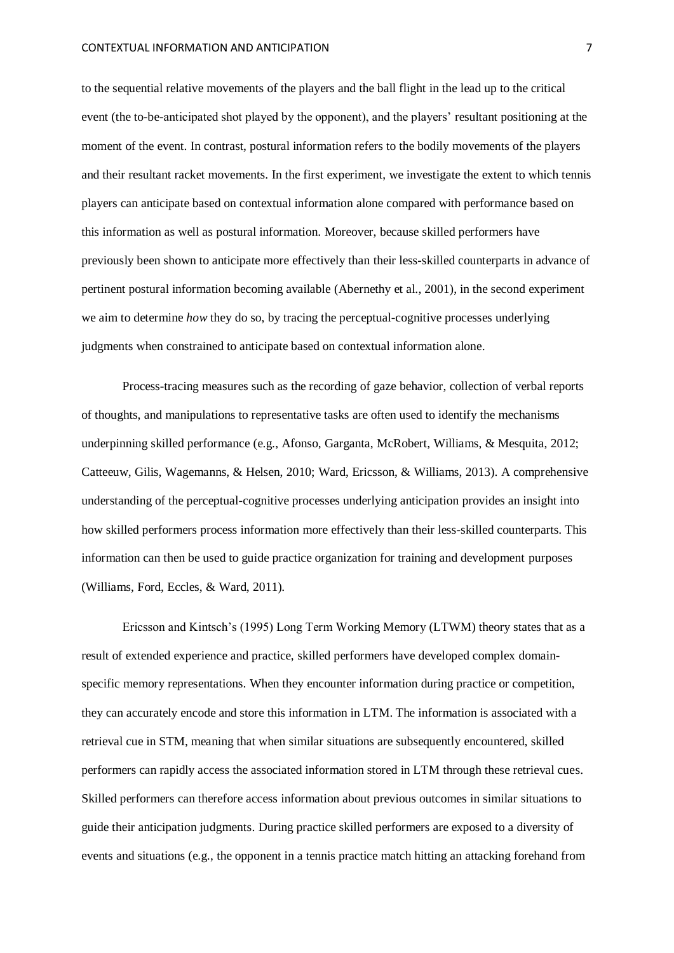to the sequential relative movements of the players and the ball flight in the lead up to the critical event (the to-be-anticipated shot played by the opponent), and the players' resultant positioning at the moment of the event. In contrast, postural information refers to the bodily movements of the players and their resultant racket movements. In the first experiment, we investigate the extent to which tennis players can anticipate based on contextual information alone compared with performance based on this information as well as postural information. Moreover, because skilled performers have previously been shown to anticipate more effectively than their less-skilled counterparts in advance of pertinent postural information becoming available (Abernethy et al., 2001), in the second experiment we aim to determine *how* they do so, by tracing the perceptual-cognitive processes underlying judgments when constrained to anticipate based on contextual information alone.

Process-tracing measures such as the recording of gaze behavior, collection of verbal reports of thoughts, and manipulations to representative tasks are often used to identify the mechanisms underpinning skilled performance (e.g., Afonso, Garganta, McRobert, Williams, & Mesquita, 2012; Catteeuw, Gilis, Wagemanns, & Helsen, 2010; Ward, Ericsson, & Williams, 2013). A comprehensive understanding of the perceptual-cognitive processes underlying anticipation provides an insight into how skilled performers process information more effectively than their less-skilled counterparts. This information can then be used to guide practice organization for training and development purposes (Williams, Ford, Eccles, & Ward, 2011).

Ericsson and Kintsch's (1995) Long Term Working Memory (LTWM) theory states that as a result of extended experience and practice, skilled performers have developed complex domainspecific memory representations. When they encounter information during practice or competition, they can accurately encode and store this information in LTM. The information is associated with a retrieval cue in STM, meaning that when similar situations are subsequently encountered, skilled performers can rapidly access the associated information stored in LTM through these retrieval cues. Skilled performers can therefore access information about previous outcomes in similar situations to guide their anticipation judgments. During practice skilled performers are exposed to a diversity of events and situations (e.g., the opponent in a tennis practice match hitting an attacking forehand from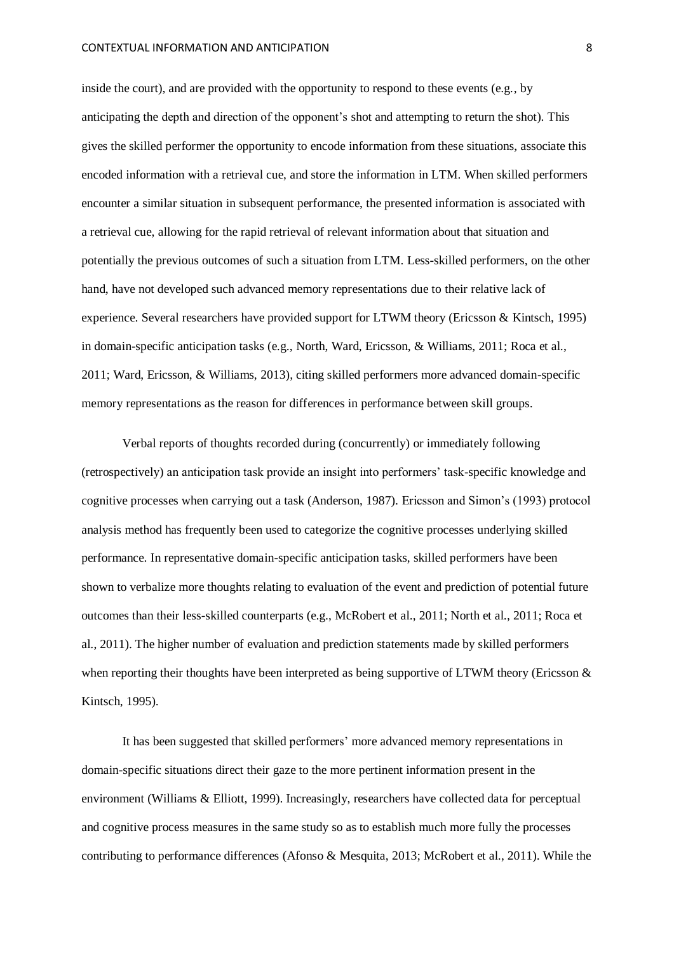#### CONTEXTUAL INFORMATION AND ANTICIPATION 8

inside the court), and are provided with the opportunity to respond to these events (e.g., by anticipating the depth and direction of the opponent's shot and attempting to return the shot). This gives the skilled performer the opportunity to encode information from these situations, associate this encoded information with a retrieval cue, and store the information in LTM. When skilled performers encounter a similar situation in subsequent performance, the presented information is associated with a retrieval cue, allowing for the rapid retrieval of relevant information about that situation and potentially the previous outcomes of such a situation from LTM. Less-skilled performers, on the other hand, have not developed such advanced memory representations due to their relative lack of experience. Several researchers have provided support for LTWM theory (Ericsson & Kintsch, 1995) in domain-specific anticipation tasks (e.g., North, Ward, Ericsson, & Williams, 2011; Roca et al., 2011; Ward, Ericsson, & Williams, 2013), citing skilled performers more advanced domain-specific memory representations as the reason for differences in performance between skill groups.

Verbal reports of thoughts recorded during (concurrently) or immediately following (retrospectively) an anticipation task provide an insight into performers' task-specific knowledge and cognitive processes when carrying out a task (Anderson, 1987). Ericsson and Simon's (1993) protocol analysis method has frequently been used to categorize the cognitive processes underlying skilled performance. In representative domain-specific anticipation tasks, skilled performers have been shown to verbalize more thoughts relating to evaluation of the event and prediction of potential future outcomes than their less-skilled counterparts (e.g., McRobert et al., 2011; North et al., 2011; Roca et al., 2011). The higher number of evaluation and prediction statements made by skilled performers when reporting their thoughts have been interpreted as being supportive of LTWM theory (Ericsson & Kintsch, 1995).

It has been suggested that skilled performers' more advanced memory representations in domain-specific situations direct their gaze to the more pertinent information present in the environment (Williams & Elliott, 1999). Increasingly, researchers have collected data for perceptual and cognitive process measures in the same study so as to establish much more fully the processes contributing to performance differences (Afonso & Mesquita, 2013; McRobert et al., 2011). While the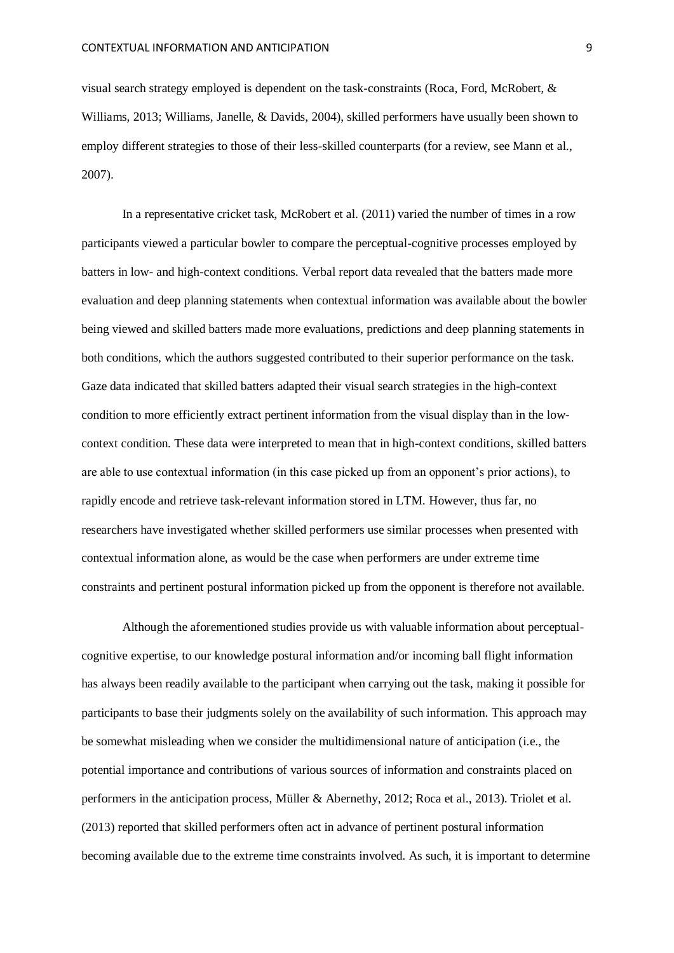visual search strategy employed is dependent on the task-constraints (Roca, Ford, McRobert, & Williams, 2013; Williams, Janelle, & Davids, 2004), skilled performers have usually been shown to employ different strategies to those of their less-skilled counterparts (for a review, see Mann et al., 2007).

In a representative cricket task, McRobert et al. (2011) varied the number of times in a row participants viewed a particular bowler to compare the perceptual-cognitive processes employed by batters in low- and high-context conditions. Verbal report data revealed that the batters made more evaluation and deep planning statements when contextual information was available about the bowler being viewed and skilled batters made more evaluations, predictions and deep planning statements in both conditions, which the authors suggested contributed to their superior performance on the task. Gaze data indicated that skilled batters adapted their visual search strategies in the high-context condition to more efficiently extract pertinent information from the visual display than in the lowcontext condition. These data were interpreted to mean that in high-context conditions, skilled batters are able to use contextual information (in this case picked up from an opponent's prior actions), to rapidly encode and retrieve task-relevant information stored in LTM. However, thus far, no researchers have investigated whether skilled performers use similar processes when presented with contextual information alone, as would be the case when performers are under extreme time constraints and pertinent postural information picked up from the opponent is therefore not available.

Although the aforementioned studies provide us with valuable information about perceptualcognitive expertise, to our knowledge postural information and/or incoming ball flight information has always been readily available to the participant when carrying out the task, making it possible for participants to base their judgments solely on the availability of such information. This approach may be somewhat misleading when we consider the multidimensional nature of anticipation (i.e., the potential importance and contributions of various sources of information and constraints placed on performers in the anticipation process, Müller & Abernethy, 2012; Roca et al., 2013). Triolet et al. (2013) reported that skilled performers often act in advance of pertinent postural information becoming available due to the extreme time constraints involved. As such, it is important to determine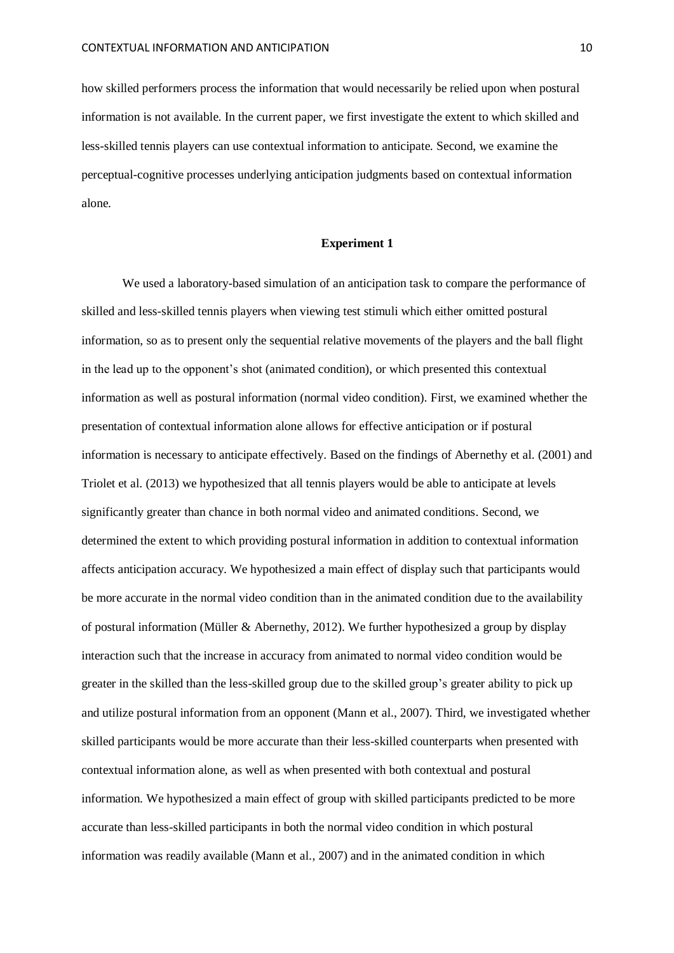how skilled performers process the information that would necessarily be relied upon when postural information is not available. In the current paper, we first investigate the extent to which skilled and less-skilled tennis players can use contextual information to anticipate. Second, we examine the perceptual-cognitive processes underlying anticipation judgments based on contextual information alone.

# **Experiment 1**

We used a laboratory-based simulation of an anticipation task to compare the performance of skilled and less-skilled tennis players when viewing test stimuli which either omitted postural information, so as to present only the sequential relative movements of the players and the ball flight in the lead up to the opponent's shot (animated condition), or which presented this contextual information as well as postural information (normal video condition). First, we examined whether the presentation of contextual information alone allows for effective anticipation or if postural information is necessary to anticipate effectively. Based on the findings of Abernethy et al. (2001) and Triolet et al. (2013) we hypothesized that all tennis players would be able to anticipate at levels significantly greater than chance in both normal video and animated conditions. Second, we determined the extent to which providing postural information in addition to contextual information affects anticipation accuracy. We hypothesized a main effect of display such that participants would be more accurate in the normal video condition than in the animated condition due to the availability of postural information (Müller & Abernethy, 2012). We further hypothesized a group by display interaction such that the increase in accuracy from animated to normal video condition would be greater in the skilled than the less-skilled group due to the skilled group's greater ability to pick up and utilize postural information from an opponent (Mann et al., 2007). Third, we investigated whether skilled participants would be more accurate than their less-skilled counterparts when presented with contextual information alone, as well as when presented with both contextual and postural information. We hypothesized a main effect of group with skilled participants predicted to be more accurate than less-skilled participants in both the normal video condition in which postural information was readily available (Mann et al., 2007) and in the animated condition in which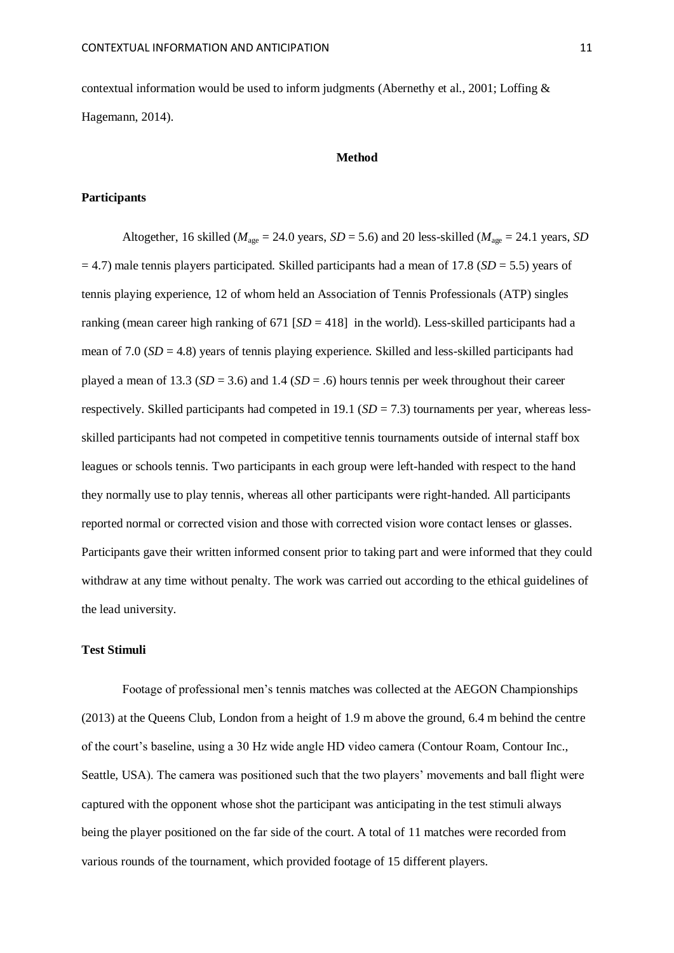contextual information would be used to inform judgments (Abernethy et al., 2001; Loffing & Hagemann, 2014).

# **Method**

# **Participants**

Altogether, 16 skilled ( $M_{\text{age}} = 24.0$  years,  $SD = 5.6$ ) and 20 less-skilled ( $M_{\text{age}} = 24.1$  years, *SD* = 4.7) male tennis players participated. Skilled participants had a mean of 17.8 (*SD* = 5.5) years of tennis playing experience, 12 of whom held an Association of Tennis Professionals (ATP) singles ranking (mean career high ranking of  $671$   $[SD = 418]$  in the world). Less-skilled participants had a mean of 7.0 (*SD* = 4.8) years of tennis playing experience. Skilled and less-skilled participants had played a mean of 13.3 ( $SD = 3.6$ ) and 1.4 ( $SD = .6$ ) hours tennis per week throughout their career respectively. Skilled participants had competed in 19.1 ( $SD = 7.3$ ) tournaments per year, whereas lessskilled participants had not competed in competitive tennis tournaments outside of internal staff box leagues or schools tennis. Two participants in each group were left-handed with respect to the hand they normally use to play tennis, whereas all other participants were right-handed. All participants reported normal or corrected vision and those with corrected vision wore contact lenses or glasses. Participants gave their written informed consent prior to taking part and were informed that they could withdraw at any time without penalty. The work was carried out according to the ethical guidelines of the lead university.

## **Test Stimuli**

Footage of professional men's tennis matches was collected at the AEGON Championships (2013) at the Queens Club, London from a height of 1.9 m above the ground, 6.4 m behind the centre of the court's baseline, using a 30 Hz wide angle HD video camera (Contour Roam, Contour Inc., Seattle, USA). The camera was positioned such that the two players' movements and ball flight were captured with the opponent whose shot the participant was anticipating in the test stimuli always being the player positioned on the far side of the court. A total of 11 matches were recorded from various rounds of the tournament, which provided footage of 15 different players.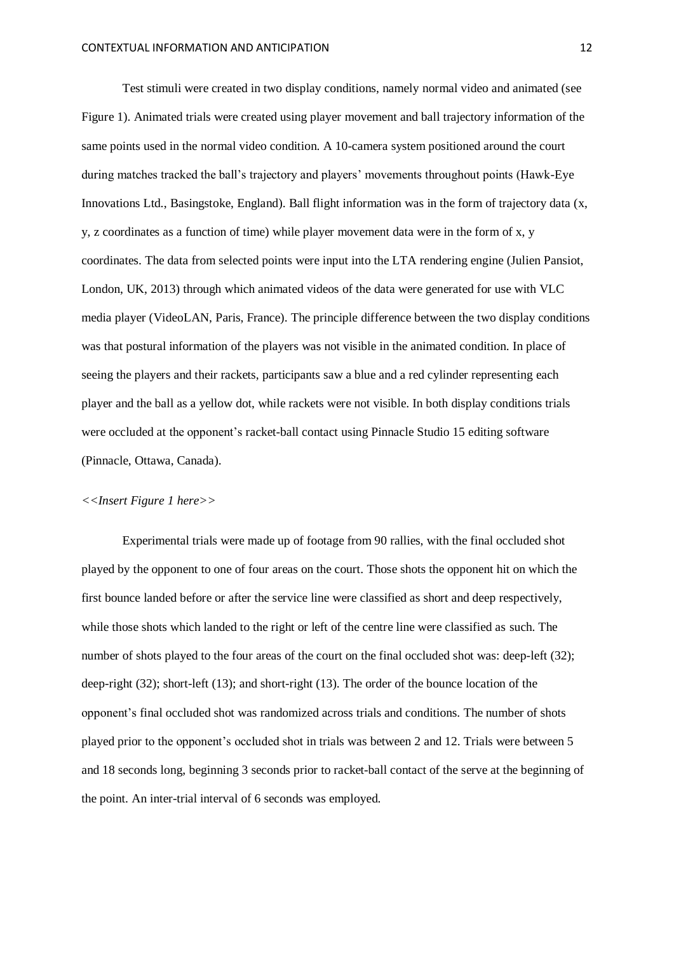Test stimuli were created in two display conditions, namely normal video and animated (see Figure 1). Animated trials were created using player movement and ball trajectory information of the same points used in the normal video condition. A 10-camera system positioned around the court during matches tracked the ball's trajectory and players' movements throughout points (Hawk-Eye Innovations Ltd., Basingstoke, England). Ball flight information was in the form of trajectory data (x, y, z coordinates as a function of time) while player movement data were in the form of x, y coordinates. The data from selected points were input into the LTA rendering engine (Julien Pansiot, London, UK, 2013) through which animated videos of the data were generated for use with VLC media player (VideoLAN, Paris, France). The principle difference between the two display conditions was that postural information of the players was not visible in the animated condition. In place of seeing the players and their rackets, participants saw a blue and a red cylinder representing each player and the ball as a yellow dot, while rackets were not visible. In both display conditions trials were occluded at the opponent's racket-ball contact using Pinnacle Studio 15 editing software (Pinnacle, Ottawa, Canada).

## *<<Insert Figure 1 here>>*

Experimental trials were made up of footage from 90 rallies, with the final occluded shot played by the opponent to one of four areas on the court. Those shots the opponent hit on which the first bounce landed before or after the service line were classified as short and deep respectively, while those shots which landed to the right or left of the centre line were classified as such. The number of shots played to the four areas of the court on the final occluded shot was: deep-left (32); deep-right (32); short-left (13); and short-right (13). The order of the bounce location of the opponent's final occluded shot was randomized across trials and conditions. The number of shots played prior to the opponent's occluded shot in trials was between 2 and 12. Trials were between 5 and 18 seconds long, beginning 3 seconds prior to racket-ball contact of the serve at the beginning of the point. An inter-trial interval of 6 seconds was employed.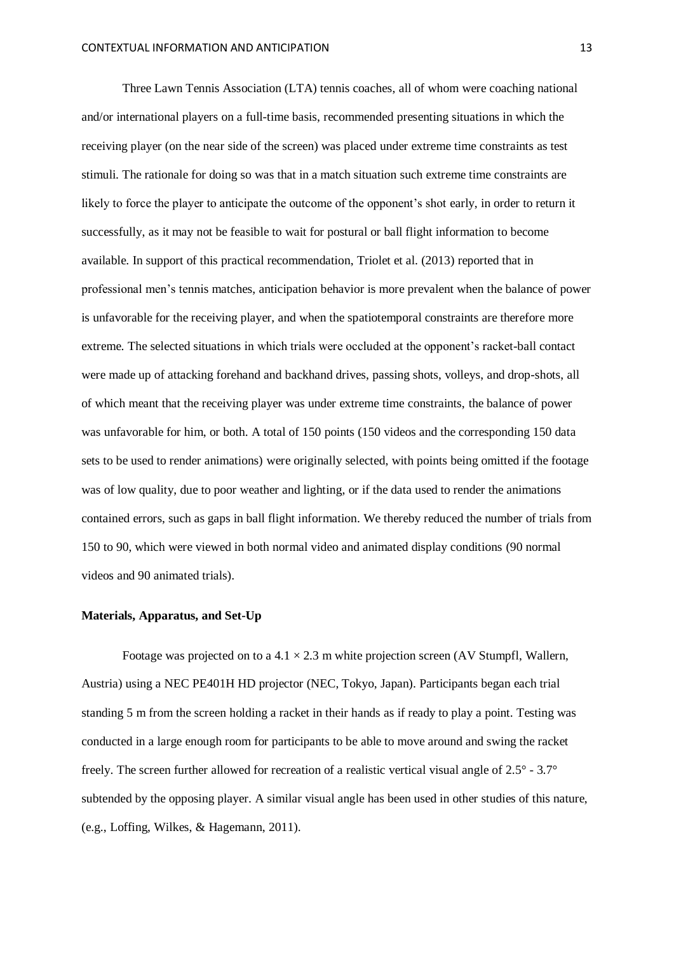Three Lawn Tennis Association (LTA) tennis coaches, all of whom were coaching national and/or international players on a full-time basis, recommended presenting situations in which the receiving player (on the near side of the screen) was placed under extreme time constraints as test stimuli. The rationale for doing so was that in a match situation such extreme time constraints are likely to force the player to anticipate the outcome of the opponent's shot early, in order to return it successfully, as it may not be feasible to wait for postural or ball flight information to become available. In support of this practical recommendation, Triolet et al. (2013) reported that in professional men's tennis matches, anticipation behavior is more prevalent when the balance of power is unfavorable for the receiving player, and when the spatiotemporal constraints are therefore more extreme. The selected situations in which trials were occluded at the opponent's racket-ball contact were made up of attacking forehand and backhand drives, passing shots, volleys, and drop-shots, all of which meant that the receiving player was under extreme time constraints, the balance of power was unfavorable for him, or both. A total of 150 points (150 videos and the corresponding 150 data sets to be used to render animations) were originally selected, with points being omitted if the footage was of low quality, due to poor weather and lighting, or if the data used to render the animations contained errors, such as gaps in ball flight information. We thereby reduced the number of trials from 150 to 90, which were viewed in both normal video and animated display conditions (90 normal videos and 90 animated trials).

#### **Materials, Apparatus, and Set-Up**

Footage was projected on to a  $4.1 \times 2.3$  m white projection screen (AV Stumpfl, Wallern, Austria) using a NEC PE401H HD projector (NEC, Tokyo, Japan). Participants began each trial standing 5 m from the screen holding a racket in their hands as if ready to play a point. Testing was conducted in a large enough room for participants to be able to move around and swing the racket freely. The screen further allowed for recreation of a realistic vertical visual angle of 2.5° - 3.7° subtended by the opposing player. A similar visual angle has been used in other studies of this nature, (e.g., Loffing, Wilkes, & Hagemann, 2011).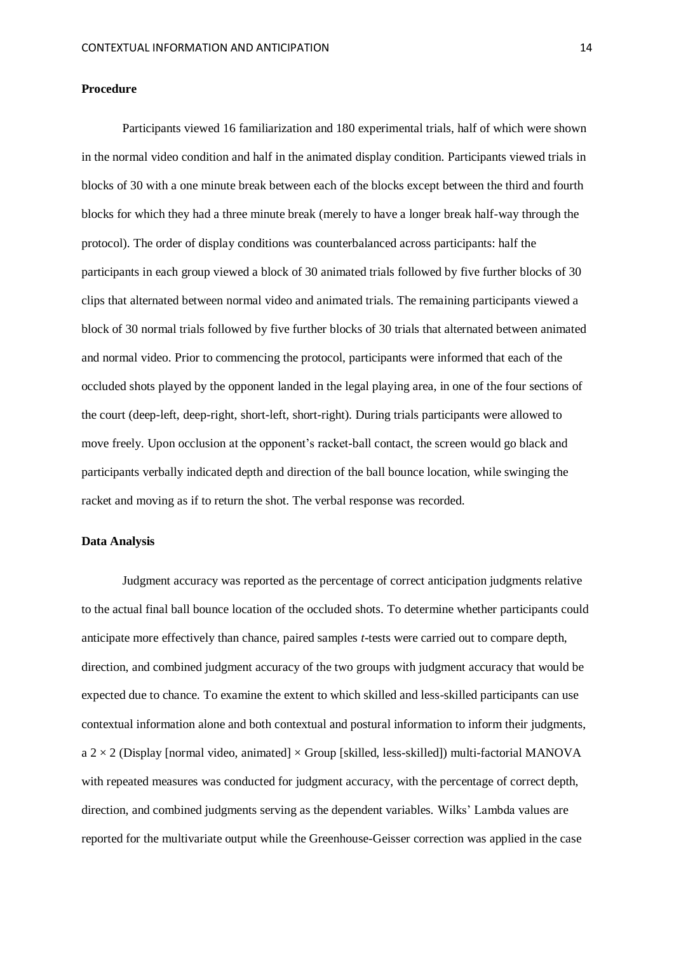#### **Procedure**

Participants viewed 16 familiarization and 180 experimental trials, half of which were shown in the normal video condition and half in the animated display condition. Participants viewed trials in blocks of 30 with a one minute break between each of the blocks except between the third and fourth blocks for which they had a three minute break (merely to have a longer break half-way through the protocol). The order of display conditions was counterbalanced across participants: half the participants in each group viewed a block of 30 animated trials followed by five further blocks of 30 clips that alternated between normal video and animated trials. The remaining participants viewed a block of 30 normal trials followed by five further blocks of 30 trials that alternated between animated and normal video. Prior to commencing the protocol, participants were informed that each of the occluded shots played by the opponent landed in the legal playing area, in one of the four sections of the court (deep-left, deep-right, short-left, short-right). During trials participants were allowed to move freely. Upon occlusion at the opponent's racket-ball contact, the screen would go black and participants verbally indicated depth and direction of the ball bounce location, while swinging the racket and moving as if to return the shot. The verbal response was recorded.

# **Data Analysis**

Judgment accuracy was reported as the percentage of correct anticipation judgments relative to the actual final ball bounce location of the occluded shots. To determine whether participants could anticipate more effectively than chance, paired samples *t*-tests were carried out to compare depth, direction, and combined judgment accuracy of the two groups with judgment accuracy that would be expected due to chance. To examine the extent to which skilled and less-skilled participants can use contextual information alone and both contextual and postural information to inform their judgments,  $a$  2  $\times$  2 (Display [normal video, animated]  $\times$  Group [skilled, less-skilled]) multi-factorial MANOVA with repeated measures was conducted for judgment accuracy, with the percentage of correct depth, direction, and combined judgments serving as the dependent variables. Wilks' Lambda values are reported for the multivariate output while the Greenhouse-Geisser correction was applied in the case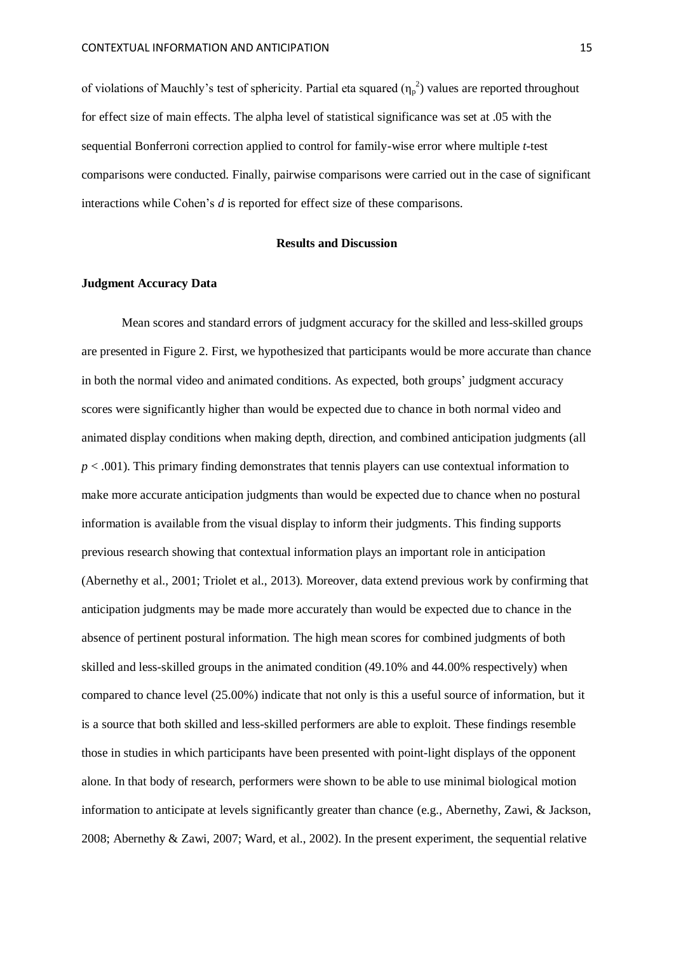of violations of Mauchly's test of sphericity. Partial eta squared  $(\eta_p^2)$  values are reported throughout for effect size of main effects. The alpha level of statistical significance was set at .05 with the sequential Bonferroni correction applied to control for family-wise error where multiple *t-*test comparisons were conducted. Finally, pairwise comparisons were carried out in the case of significant interactions while Cohen's *d* is reported for effect size of these comparisons.

#### **Results and Discussion**

# **Judgment Accuracy Data**

Mean scores and standard errors of judgment accuracy for the skilled and less-skilled groups are presented in Figure 2. First, we hypothesized that participants would be more accurate than chance in both the normal video and animated conditions. As expected, both groups' judgment accuracy scores were significantly higher than would be expected due to chance in both normal video and animated display conditions when making depth, direction, and combined anticipation judgments (all *p* < .001). This primary finding demonstrates that tennis players can use contextual information to make more accurate anticipation judgments than would be expected due to chance when no postural information is available from the visual display to inform their judgments. This finding supports previous research showing that contextual information plays an important role in anticipation (Abernethy et al., 2001; Triolet et al., 2013). Moreover, data extend previous work by confirming that anticipation judgments may be made more accurately than would be expected due to chance in the absence of pertinent postural information. The high mean scores for combined judgments of both skilled and less-skilled groups in the animated condition (49.10% and 44.00% respectively) when compared to chance level (25.00%) indicate that not only is this a useful source of information, but it is a source that both skilled and less-skilled performers are able to exploit. These findings resemble those in studies in which participants have been presented with point-light displays of the opponent alone. In that body of research, performers were shown to be able to use minimal biological motion information to anticipate at levels significantly greater than chance (e.g., Abernethy, Zawi, & Jackson, 2008; Abernethy & Zawi, 2007; Ward, et al., 2002). In the present experiment, the sequential relative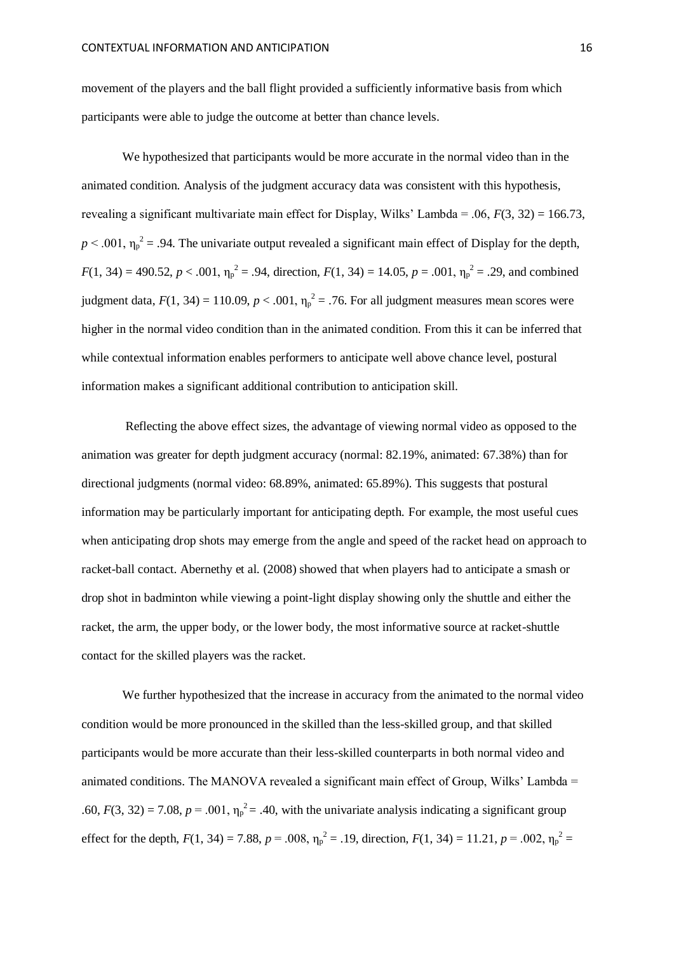movement of the players and the ball flight provided a sufficiently informative basis from which participants were able to judge the outcome at better than chance levels.

We hypothesized that participants would be more accurate in the normal video than in the animated condition. Analysis of the judgment accuracy data was consistent with this hypothesis, revealing a significant multivariate main effect for Display, Wilks' Lambda = .06, *F*(3, 32) = 166.73,  $p < .001$ ,  $\eta_p^2 = .94$ . The univariate output revealed a significant main effect of Display for the depth,  $F(1, 34) = 490.52, p < .001, \eta_p^2 = .94$ , direction,  $F(1, 34) = 14.05, p = .001, \eta_p^2 = .29$ , and combined judgment data,  $F(1, 34) = 110.09$ ,  $p < .001$ ,  $\eta_p^2 = .76$ . For all judgment measures mean scores were higher in the normal video condition than in the animated condition. From this it can be inferred that while contextual information enables performers to anticipate well above chance level, postural information makes a significant additional contribution to anticipation skill.

Reflecting the above effect sizes, the advantage of viewing normal video as opposed to the animation was greater for depth judgment accuracy (normal: 82.19%, animated: 67.38%) than for directional judgments (normal video: 68.89%, animated: 65.89%). This suggests that postural information may be particularly important for anticipating depth. For example, the most useful cues when anticipating drop shots may emerge from the angle and speed of the racket head on approach to racket-ball contact. Abernethy et al. (2008) showed that when players had to anticipate a smash or drop shot in badminton while viewing a point-light display showing only the shuttle and either the racket, the arm, the upper body, or the lower body, the most informative source at racket-shuttle contact for the skilled players was the racket.

We further hypothesized that the increase in accuracy from the animated to the normal video condition would be more pronounced in the skilled than the less-skilled group, and that skilled participants would be more accurate than their less-skilled counterparts in both normal video and animated conditions. The MANOVA revealed a significant main effect of Group, Wilks' Lambda = .60,  $F(3, 32) = 7.08$ ,  $p = .001$ ,  $\eta_p^2 = .40$ , with the univariate analysis indicating a significant group effect for the depth,  $F(1, 34) = 7.88$ ,  $p = .008$ ,  $\eta_p^2 = .19$ , direction,  $F(1, 34) = 11.21$ ,  $p = .002$ ,  $\eta_p^2 =$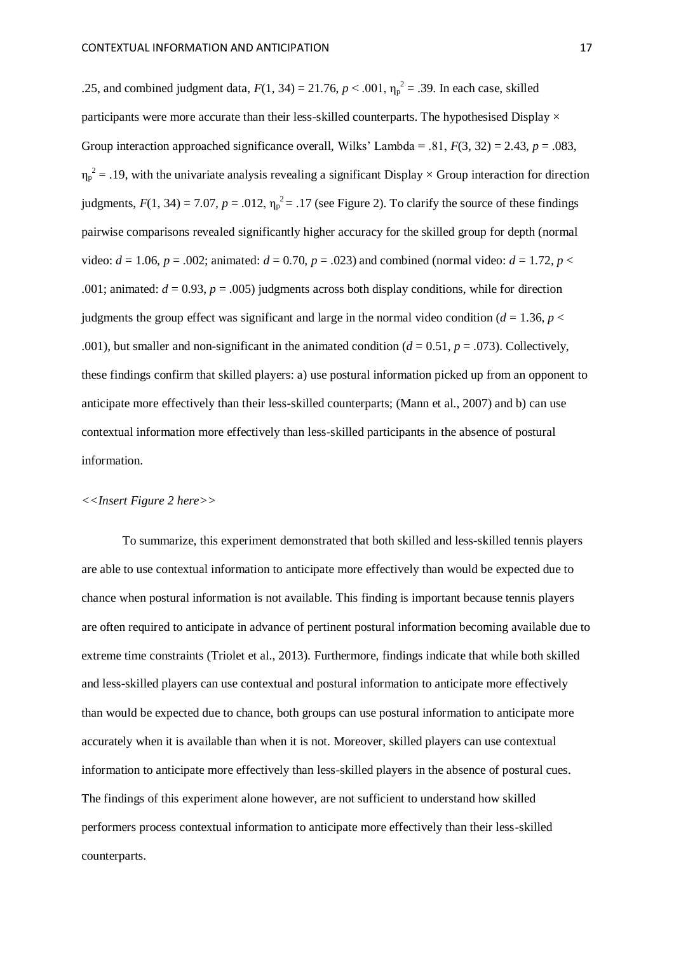.25, and combined judgment data,  $F(1, 34) = 21.76$ ,  $p < .001$ ,  $\eta_p^2 = .39$ . In each case, skilled participants were more accurate than their less-skilled counterparts. The hypothesised Display  $\times$ Group interaction approached significance overall, Wilks' Lambda = .81,  $F(3, 32) = 2.43$ ,  $p = .083$ ,  $\eta_p^2$  = .19, with the univariate analysis revealing a significant Display  $\times$  Group interaction for direction judgments,  $F(1, 34) = 7.07$ ,  $p = .012$ ,  $\eta_p^2 = .17$  (see Figure 2). To clarify the source of these findings pairwise comparisons revealed significantly higher accuracy for the skilled group for depth (normal video:  $d = 1.06$ ,  $p = .002$ ; animated:  $d = 0.70$ ,  $p = .023$ ) and combined (normal video:  $d = 1.72$ ,  $p <$ .001; animated:  $d = 0.93$ ,  $p = .005$ ) judgments across both display conditions, while for direction judgments the group effect was significant and large in the normal video condition ( $d = 1.36$ ,  $p <$ .001), but smaller and non-significant in the animated condition  $(d = 0.51, p = .073)$ . Collectively, these findings confirm that skilled players: a) use postural information picked up from an opponent to anticipate more effectively than their less-skilled counterparts; (Mann et al., 2007) and b) can use contextual information more effectively than less-skilled participants in the absence of postural information.

# *<<Insert Figure 2 here>>*

To summarize, this experiment demonstrated that both skilled and less-skilled tennis players are able to use contextual information to anticipate more effectively than would be expected due to chance when postural information is not available. This finding is important because tennis players are often required to anticipate in advance of pertinent postural information becoming available due to extreme time constraints (Triolet et al., 2013). Furthermore, findings indicate that while both skilled and less-skilled players can use contextual and postural information to anticipate more effectively than would be expected due to chance, both groups can use postural information to anticipate more accurately when it is available than when it is not. Moreover, skilled players can use contextual information to anticipate more effectively than less-skilled players in the absence of postural cues. The findings of this experiment alone however, are not sufficient to understand how skilled performers process contextual information to anticipate more effectively than their less-skilled counterparts.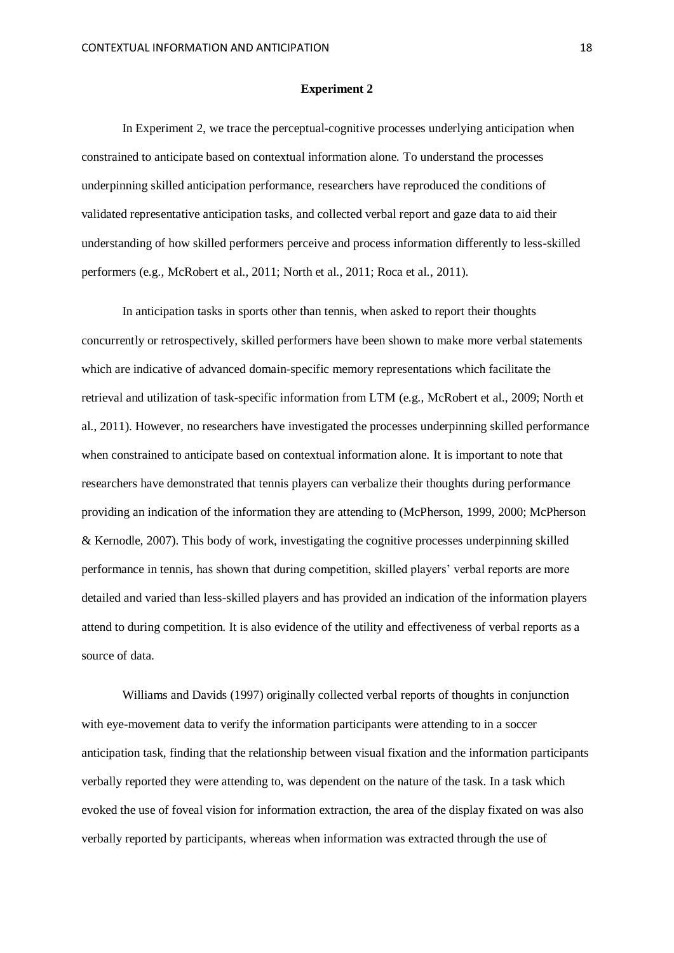#### **Experiment 2**

In Experiment 2, we trace the perceptual-cognitive processes underlying anticipation when constrained to anticipate based on contextual information alone. To understand the processes underpinning skilled anticipation performance, researchers have reproduced the conditions of validated representative anticipation tasks, and collected verbal report and gaze data to aid their understanding of how skilled performers perceive and process information differently to less-skilled performers (e.g., McRobert et al., 2011; North et al., 2011; Roca et al., 2011).

In anticipation tasks in sports other than tennis, when asked to report their thoughts concurrently or retrospectively, skilled performers have been shown to make more verbal statements which are indicative of advanced domain-specific memory representations which facilitate the retrieval and utilization of task-specific information from LTM (e.g., McRobert et al., 2009; North et al., 2011). However, no researchers have investigated the processes underpinning skilled performance when constrained to anticipate based on contextual information alone. It is important to note that researchers have demonstrated that tennis players can verbalize their thoughts during performance providing an indication of the information they are attending to (McPherson, 1999, 2000; McPherson & Kernodle, 2007). This body of work, investigating the cognitive processes underpinning skilled performance in tennis, has shown that during competition, skilled players' verbal reports are more detailed and varied than less-skilled players and has provided an indication of the information players attend to during competition. It is also evidence of the utility and effectiveness of verbal reports as a source of data.

Williams and Davids (1997) originally collected verbal reports of thoughts in conjunction with eye-movement data to verify the information participants were attending to in a soccer anticipation task, finding that the relationship between visual fixation and the information participants verbally reported they were attending to, was dependent on the nature of the task. In a task which evoked the use of foveal vision for information extraction, the area of the display fixated on was also verbally reported by participants, whereas when information was extracted through the use of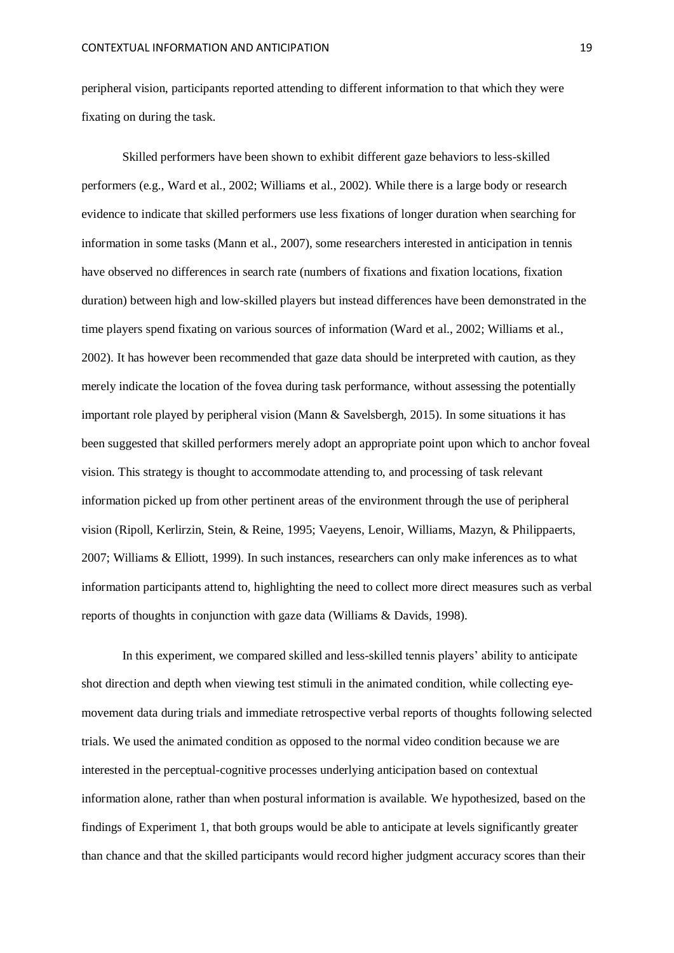peripheral vision, participants reported attending to different information to that which they were fixating on during the task.

Skilled performers have been shown to exhibit different gaze behaviors to less-skilled performers (e.g., Ward et al., 2002; Williams et al., 2002). While there is a large body or research evidence to indicate that skilled performers use less fixations of longer duration when searching for information in some tasks (Mann et al., 2007), some researchers interested in anticipation in tennis have observed no differences in search rate (numbers of fixations and fixation locations, fixation duration) between high and low-skilled players but instead differences have been demonstrated in the time players spend fixating on various sources of information (Ward et al., 2002; Williams et al., 2002). It has however been recommended that gaze data should be interpreted with caution, as they merely indicate the location of the fovea during task performance, without assessing the potentially important role played by peripheral vision (Mann & Savelsbergh, 2015). In some situations it has been suggested that skilled performers merely adopt an appropriate point upon which to anchor foveal vision. This strategy is thought to accommodate attending to, and processing of task relevant information picked up from other pertinent areas of the environment through the use of peripheral vision (Ripoll, Kerlirzin, Stein, & Reine, 1995; Vaeyens, Lenoir, Williams, Mazyn, & Philippaerts, 2007; Williams & Elliott, 1999). In such instances, researchers can only make inferences as to what information participants attend to, highlighting the need to collect more direct measures such as verbal reports of thoughts in conjunction with gaze data (Williams & Davids, 1998).

In this experiment, we compared skilled and less-skilled tennis players' ability to anticipate shot direction and depth when viewing test stimuli in the animated condition, while collecting eyemovement data during trials and immediate retrospective verbal reports of thoughts following selected trials. We used the animated condition as opposed to the normal video condition because we are interested in the perceptual-cognitive processes underlying anticipation based on contextual information alone, rather than when postural information is available. We hypothesized, based on the findings of Experiment 1, that both groups would be able to anticipate at levels significantly greater than chance and that the skilled participants would record higher judgment accuracy scores than their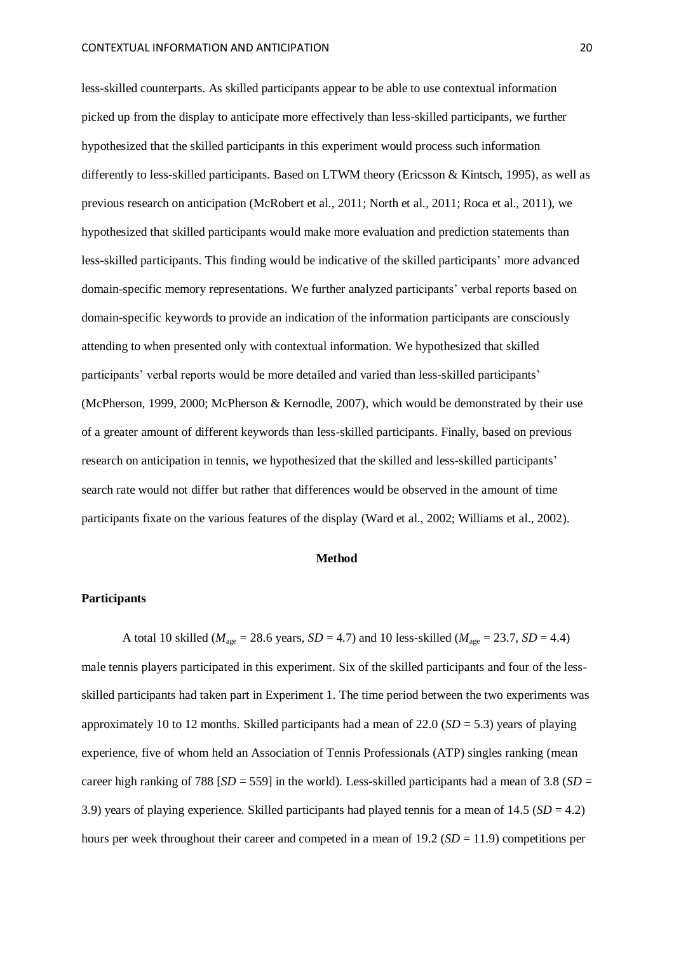less-skilled counterparts. As skilled participants appear to be able to use contextual information picked up from the display to anticipate more effectively than less-skilled participants, we further hypothesized that the skilled participants in this experiment would process such information differently to less-skilled participants. Based on LTWM theory (Ericsson & Kintsch, 1995), as well as previous research on anticipation (McRobert et al., 2011; North et al., 2011; Roca et al., 2011), we hypothesized that skilled participants would make more evaluation and prediction statements than less-skilled participants. This finding would be indicative of the skilled participants' more advanced domain-specific memory representations. We further analyzed participants' verbal reports based on domain-specific keywords to provide an indication of the information participants are consciously attending to when presented only with contextual information. We hypothesized that skilled participants' verbal reports would be more detailed and varied than less-skilled participants' (McPherson, 1999, 2000; McPherson & Kernodle, 2007), which would be demonstrated by their use of a greater amount of different keywords than less-skilled participants. Finally, based on previous research on anticipation in tennis, we hypothesized that the skilled and less-skilled participants' search rate would not differ but rather that differences would be observed in the amount of time participants fixate on the various features of the display (Ward et al., 2002; Williams et al., 2002).

#### **Method**

#### **Participants**

A total 10 skilled ( $M_{\text{age}} = 28.6$  years,  $SD = 4.7$ ) and 10 less-skilled ( $M_{\text{age}} = 23.7$ ,  $SD = 4.4$ ) male tennis players participated in this experiment. Six of the skilled participants and four of the lessskilled participants had taken part in Experiment 1. The time period between the two experiments was approximately 10 to 12 months. Skilled participants had a mean of 22.0 (*SD* = 5.3) years of playing experience, five of whom held an Association of Tennis Professionals (ATP) singles ranking (mean career high ranking of 788  $[SD = 559]$  in the world). Less-skilled participants had a mean of 3.8  $(SD = 559)$ 3.9) years of playing experience. Skilled participants had played tennis for a mean of  $14.5$  ( $SD = 4.2$ ) hours per week throughout their career and competed in a mean of 19.2 (*SD* = 11.9) competitions per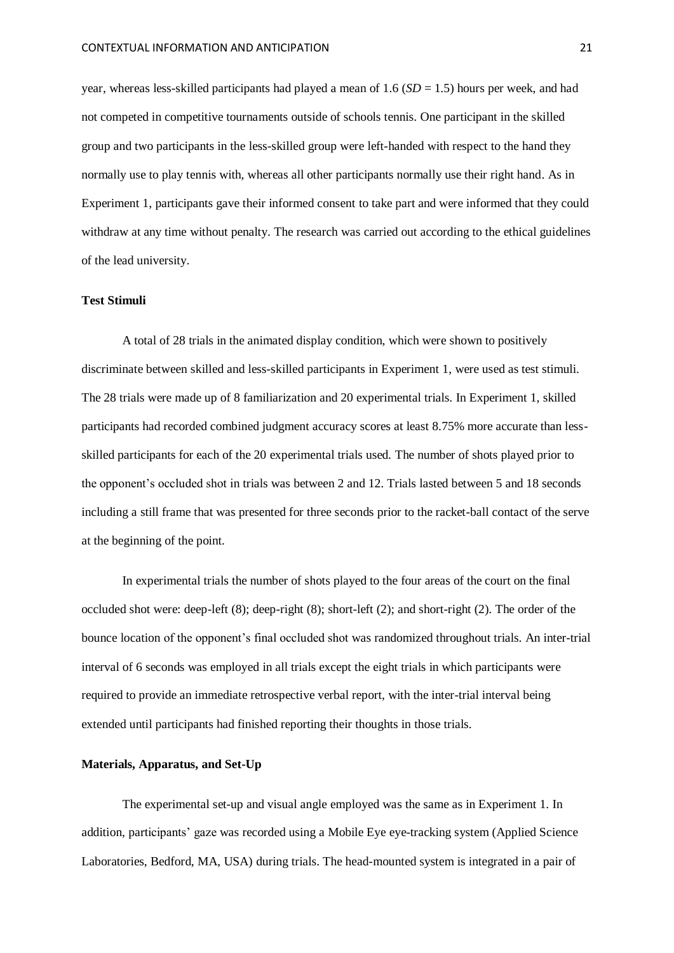year, whereas less-skilled participants had played a mean of 1.6 (*SD* = 1.5) hours per week, and had not competed in competitive tournaments outside of schools tennis. One participant in the skilled group and two participants in the less-skilled group were left-handed with respect to the hand they normally use to play tennis with, whereas all other participants normally use their right hand. As in Experiment 1, participants gave their informed consent to take part and were informed that they could withdraw at any time without penalty. The research was carried out according to the ethical guidelines of the lead university.

#### **Test Stimuli**

A total of 28 trials in the animated display condition, which were shown to positively discriminate between skilled and less-skilled participants in Experiment 1, were used as test stimuli. The 28 trials were made up of 8 familiarization and 20 experimental trials. In Experiment 1, skilled participants had recorded combined judgment accuracy scores at least 8.75% more accurate than lessskilled participants for each of the 20 experimental trials used. The number of shots played prior to the opponent's occluded shot in trials was between 2 and 12. Trials lasted between 5 and 18 seconds including a still frame that was presented for three seconds prior to the racket-ball contact of the serve at the beginning of the point.

In experimental trials the number of shots played to the four areas of the court on the final occluded shot were: deep-left (8); deep-right (8); short-left (2); and short-right (2). The order of the bounce location of the opponent's final occluded shot was randomized throughout trials. An inter-trial interval of 6 seconds was employed in all trials except the eight trials in which participants were required to provide an immediate retrospective verbal report, with the inter-trial interval being extended until participants had finished reporting their thoughts in those trials.

# **Materials, Apparatus, and Set-Up**

The experimental set-up and visual angle employed was the same as in Experiment 1. In addition, participants' gaze was recorded using a Mobile Eye eye-tracking system (Applied Science Laboratories, Bedford, MA, USA) during trials. The head-mounted system is integrated in a pair of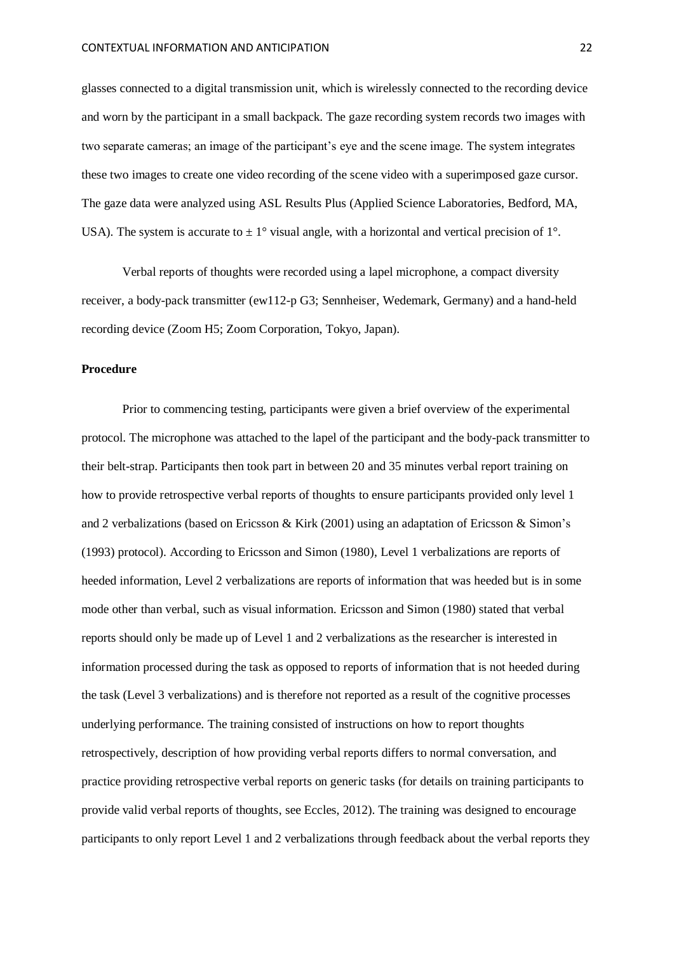glasses connected to a digital transmission unit, which is wirelessly connected to the recording device and worn by the participant in a small backpack. The gaze recording system records two images with two separate cameras; an image of the participant's eye and the scene image. The system integrates these two images to create one video recording of the scene video with a superimposed gaze cursor. The gaze data were analyzed using ASL Results Plus (Applied Science Laboratories, Bedford, MA, USA). The system is accurate to  $\pm 1^{\circ}$  visual angle, with a horizontal and vertical precision of 1°.

Verbal reports of thoughts were recorded using a lapel microphone, a compact diversity receiver, a body-pack transmitter (ew112-p G3; Sennheiser, Wedemark, Germany) and a hand-held recording device (Zoom H5; Zoom Corporation, Tokyo, Japan).

# **Procedure**

Prior to commencing testing, participants were given a brief overview of the experimental protocol. The microphone was attached to the lapel of the participant and the body-pack transmitter to their belt-strap. Participants then took part in between 20 and 35 minutes verbal report training on how to provide retrospective verbal reports of thoughts to ensure participants provided only level 1 and 2 verbalizations (based on Ericsson & Kirk (2001) using an adaptation of Ericsson & Simon's (1993) protocol). According to Ericsson and Simon (1980), Level 1 verbalizations are reports of heeded information, Level 2 verbalizations are reports of information that was heeded but is in some mode other than verbal, such as visual information. Ericsson and Simon (1980) stated that verbal reports should only be made up of Level 1 and 2 verbalizations as the researcher is interested in information processed during the task as opposed to reports of information that is not heeded during the task (Level 3 verbalizations) and is therefore not reported as a result of the cognitive processes underlying performance. The training consisted of instructions on how to report thoughts retrospectively, description of how providing verbal reports differs to normal conversation, and practice providing retrospective verbal reports on generic tasks (for details on training participants to provide valid verbal reports of thoughts, see Eccles, 2012). The training was designed to encourage participants to only report Level 1 and 2 verbalizations through feedback about the verbal reports they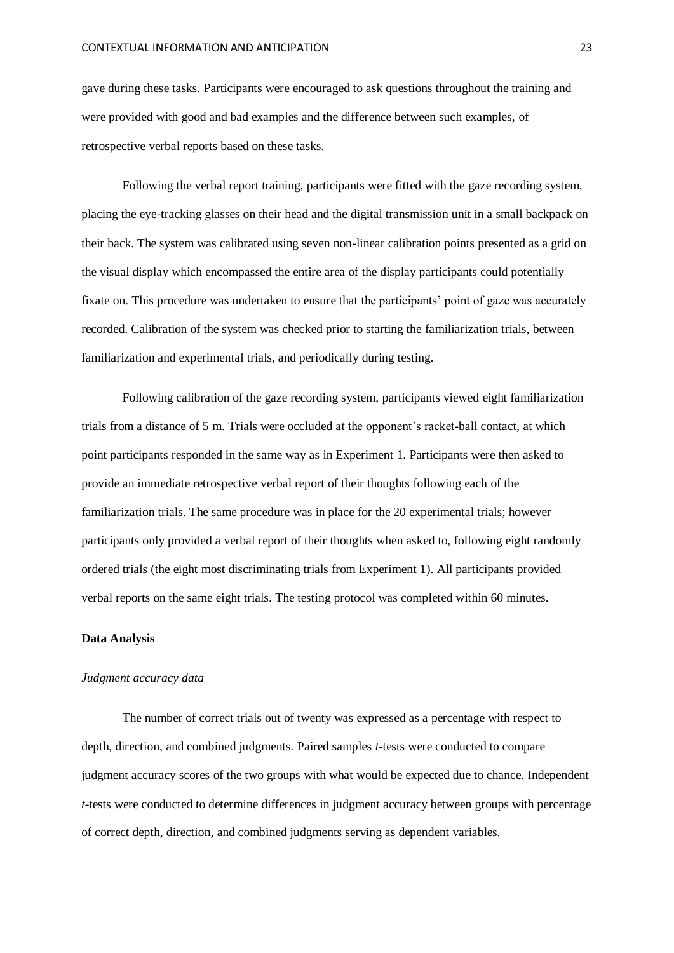gave during these tasks. Participants were encouraged to ask questions throughout the training and were provided with good and bad examples and the difference between such examples, of retrospective verbal reports based on these tasks.

Following the verbal report training, participants were fitted with the gaze recording system, placing the eye-tracking glasses on their head and the digital transmission unit in a small backpack on their back. The system was calibrated using seven non-linear calibration points presented as a grid on the visual display which encompassed the entire area of the display participants could potentially fixate on. This procedure was undertaken to ensure that the participants' point of gaze was accurately recorded. Calibration of the system was checked prior to starting the familiarization trials, between familiarization and experimental trials, and periodically during testing.

Following calibration of the gaze recording system, participants viewed eight familiarization trials from a distance of 5 m. Trials were occluded at the opponent's racket-ball contact, at which point participants responded in the same way as in Experiment 1. Participants were then asked to provide an immediate retrospective verbal report of their thoughts following each of the familiarization trials. The same procedure was in place for the 20 experimental trials; however participants only provided a verbal report of their thoughts when asked to, following eight randomly ordered trials (the eight most discriminating trials from Experiment 1). All participants provided verbal reports on the same eight trials. The testing protocol was completed within 60 minutes.

## **Data Analysis**

#### *Judgment accuracy data*

The number of correct trials out of twenty was expressed as a percentage with respect to depth, direction, and combined judgments. Paired samples *t*-tests were conducted to compare judgment accuracy scores of the two groups with what would be expected due to chance. Independent *t*-tests were conducted to determine differences in judgment accuracy between groups with percentage of correct depth, direction, and combined judgments serving as dependent variables.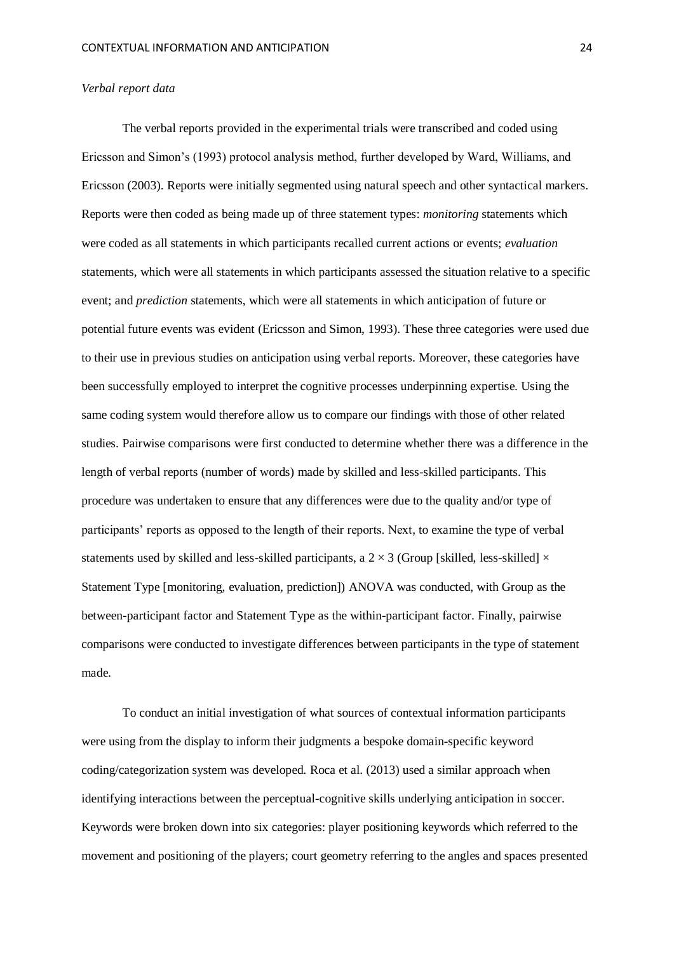#### *Verbal report data*

The verbal reports provided in the experimental trials were transcribed and coded using Ericsson and Simon's (1993) protocol analysis method, further developed by Ward, Williams, and Ericsson (2003). Reports were initially segmented using natural speech and other syntactical markers. Reports were then coded as being made up of three statement types: *monitoring* statements which were coded as all statements in which participants recalled current actions or events; *evaluation* statements, which were all statements in which participants assessed the situation relative to a specific event; and *prediction* statements, which were all statements in which anticipation of future or potential future events was evident (Ericsson and Simon, 1993). These three categories were used due to their use in previous studies on anticipation using verbal reports. Moreover, these categories have been successfully employed to interpret the cognitive processes underpinning expertise. Using the same coding system would therefore allow us to compare our findings with those of other related studies. Pairwise comparisons were first conducted to determine whether there was a difference in the length of verbal reports (number of words) made by skilled and less-skilled participants. This procedure was undertaken to ensure that any differences were due to the quality and/or type of participants' reports as opposed to the length of their reports. Next, to examine the type of verbal statements used by skilled and less-skilled participants, a  $2 \times 3$  (Group [skilled, less-skilled]  $\times$ Statement Type [monitoring, evaluation, prediction]) ANOVA was conducted, with Group as the between-participant factor and Statement Type as the within-participant factor. Finally, pairwise comparisons were conducted to investigate differences between participants in the type of statement made.

To conduct an initial investigation of what sources of contextual information participants were using from the display to inform their judgments a bespoke domain-specific keyword coding/categorization system was developed. Roca et al. (2013) used a similar approach when identifying interactions between the perceptual-cognitive skills underlying anticipation in soccer. Keywords were broken down into six categories: player positioning keywords which referred to the movement and positioning of the players; court geometry referring to the angles and spaces presented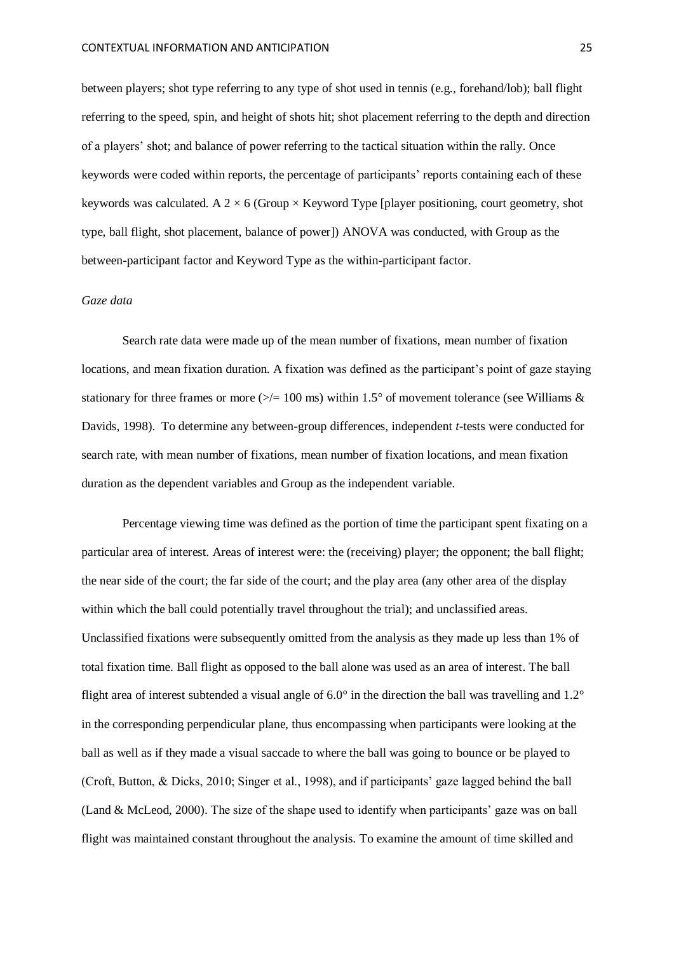between players; shot type referring to any type of shot used in tennis (e.g., forehand/lob); ball flight referring to the speed, spin, and height of shots hit; shot placement referring to the depth and direction of a players' shot; and balance of power referring to the tactical situation within the rally. Once keywords were coded within reports, the percentage of participants' reports containing each of these keywords was calculated. A  $2 \times 6$  (Group  $\times$  Keyword Type [player positioning, court geometry, shot type, ball flight, shot placement, balance of power]) ANOVA was conducted, with Group as the between-participant factor and Keyword Type as the within-participant factor.

## *Gaze data*

Search rate data were made up of the mean number of fixations, mean number of fixation locations, and mean fixation duration. A fixation was defined as the participant's point of gaze staying stationary for three frames or more ( $\ge$ /= 100 ms) within 1.5° of movement tolerance (see Williams & Davids, 1998). To determine any between-group differences, independent *t*-tests were conducted for search rate, with mean number of fixations, mean number of fixation locations, and mean fixation duration as the dependent variables and Group as the independent variable.

Percentage viewing time was defined as the portion of time the participant spent fixating on a particular area of interest. Areas of interest were: the (receiving) player; the opponent; the ball flight; the near side of the court; the far side of the court; and the play area (any other area of the display within which the ball could potentially travel throughout the trial); and unclassified areas. Unclassified fixations were subsequently omitted from the analysis as they made up less than 1% of total fixation time. Ball flight as opposed to the ball alone was used as an area of interest. The ball flight area of interest subtended a visual angle of 6.0° in the direction the ball was travelling and 1.2° in the corresponding perpendicular plane, thus encompassing when participants were looking at the ball as well as if they made a visual saccade to where the ball was going to bounce or be played to (Croft, Button, & Dicks, 2010; Singer et al., 1998), and if participants' gaze lagged behind the ball (Land & McLeod, 2000). The size of the shape used to identify when participants' gaze was on ball flight was maintained constant throughout the analysis. To examine the amount of time skilled and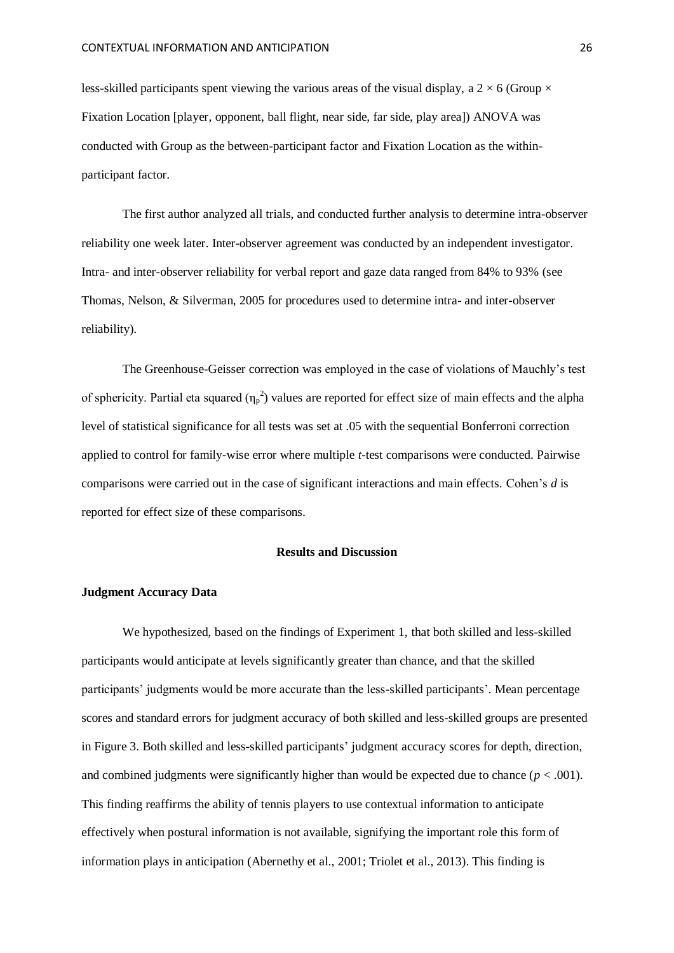less-skilled participants spent viewing the various areas of the visual display, a  $2 \times 6$  (Group  $\times$ Fixation Location [player, opponent, ball flight, near side, far side, play area]) ANOVA was conducted with Group as the between-participant factor and Fixation Location as the withinparticipant factor.

The first author analyzed all trials, and conducted further analysis to determine intra-observer reliability one week later. Inter-observer agreement was conducted by an independent investigator. Intra- and inter-observer reliability for verbal report and gaze data ranged from 84% to 93% (see Thomas, Nelson, & Silverman, 2005 for procedures used to determine intra- and inter-observer reliability).

The Greenhouse-Geisser correction was employed in the case of violations of Mauchly's test of sphericity. Partial eta squared  $(\eta_p^2)$  values are reported for effect size of main effects and the alpha level of statistical significance for all tests was set at .05 with the sequential Bonferroni correction applied to control for family-wise error where multiple *t*-test comparisons were conducted. Pairwise comparisons were carried out in the case of significant interactions and main effects. Cohen's *d* is reported for effect size of these comparisons.

#### **Results and Discussion**

# **Judgment Accuracy Data**

We hypothesized, based on the findings of Experiment 1, that both skilled and less-skilled participants would anticipate at levels significantly greater than chance, and that the skilled participants' judgments would be more accurate than the less-skilled participants'. Mean percentage scores and standard errors for judgment accuracy of both skilled and less-skilled groups are presented in Figure 3. Both skilled and less-skilled participants' judgment accuracy scores for depth, direction, and combined judgments were significantly higher than would be expected due to chance  $(p < .001)$ . This finding reaffirms the ability of tennis players to use contextual information to anticipate effectively when postural information is not available, signifying the important role this form of information plays in anticipation (Abernethy et al., 2001; Triolet et al., 2013). This finding is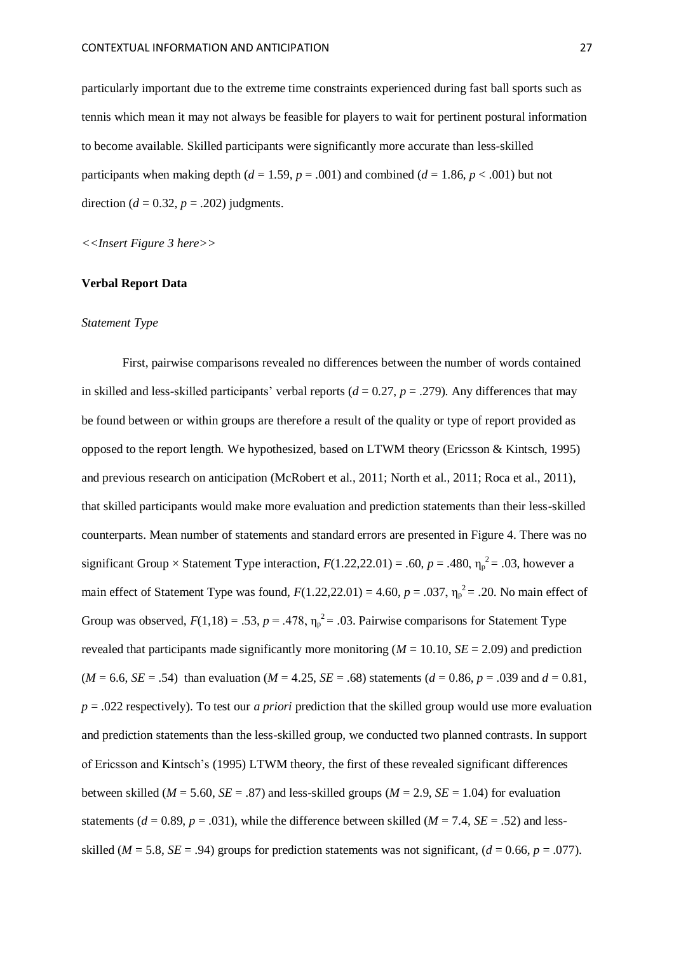particularly important due to the extreme time constraints experienced during fast ball sports such as tennis which mean it may not always be feasible for players to wait for pertinent postural information to become available. Skilled participants were significantly more accurate than less-skilled participants when making depth  $(d = 1.59, p = .001)$  and combined  $(d = 1.86, p < .001)$  but not direction ( $d = 0.32$ ,  $p = .202$ ) judgments.

*<<Insert Figure 3 here>>*

# **Verbal Report Data**

#### *Statement Type*

First, pairwise comparisons revealed no differences between the number of words contained in skilled and less-skilled participants' verbal reports  $(d = 0.27, p = .279)$ . Any differences that may be found between or within groups are therefore a result of the quality or type of report provided as opposed to the report length. We hypothesized, based on LTWM theory (Ericsson & Kintsch, 1995) and previous research on anticipation (McRobert et al., 2011; North et al., 2011; Roca et al., 2011), that skilled participants would make more evaluation and prediction statements than their less-skilled counterparts. Mean number of statements and standard errors are presented in Figure 4. There was no significant Group  $\times$  Statement Type interaction,  $F(1.22,22.01) = .60$ ,  $p = .480$ ,  $\eta_p^2 = .03$ , however a main effect of Statement Type was found,  $F(1.22,22.01) = 4.60$ ,  $p = .037$ ,  $\eta_p^2 = .20$ . No main effect of Group was observed,  $F(1,18) = .53$ ,  $p = .478$ ,  $\eta_p^2 = .03$ . Pairwise comparisons for Statement Type revealed that participants made significantly more monitoring  $(M = 10.10, SE = 2.09)$  and prediction  $(M = 6.6, SE = .54)$  than evaluation  $(M = 4.25, SE = .68)$  statements  $(d = 0.86, p = .039$  and  $d = 0.81$ , *p* = .022 respectively). To test our *a priori* prediction that the skilled group would use more evaluation and prediction statements than the less-skilled group, we conducted two planned contrasts. In support of Ericsson and Kintsch's (1995) LTWM theory, the first of these revealed significant differences between skilled ( $M = 5.60$ ,  $SE = .87$ ) and less-skilled groups ( $M = 2.9$ ,  $SE = 1.04$ ) for evaluation statements ( $d = 0.89$ ,  $p = .031$ ), while the difference between skilled ( $M = 7.4$ ,  $SE = .52$ ) and lessskilled ( $M = 5.8$ ,  $SE = .94$ ) groups for prediction statements was not significant, ( $d = 0.66$ ,  $p = .077$ ).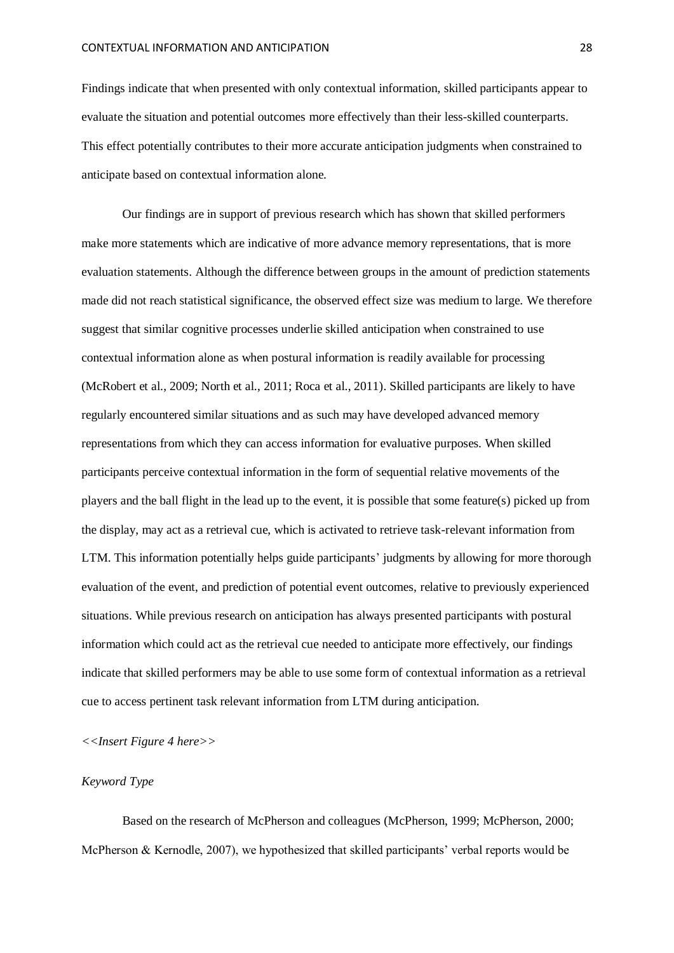Findings indicate that when presented with only contextual information, skilled participants appear to evaluate the situation and potential outcomes more effectively than their less-skilled counterparts. This effect potentially contributes to their more accurate anticipation judgments when constrained to anticipate based on contextual information alone.

Our findings are in support of previous research which has shown that skilled performers make more statements which are indicative of more advance memory representations, that is more evaluation statements. Although the difference between groups in the amount of prediction statements made did not reach statistical significance, the observed effect size was medium to large. We therefore suggest that similar cognitive processes underlie skilled anticipation when constrained to use contextual information alone as when postural information is readily available for processing (McRobert et al., 2009; North et al., 2011; Roca et al., 2011). Skilled participants are likely to have regularly encountered similar situations and as such may have developed advanced memory representations from which they can access information for evaluative purposes. When skilled participants perceive contextual information in the form of sequential relative movements of the players and the ball flight in the lead up to the event, it is possible that some feature(s) picked up from the display, may act as a retrieval cue, which is activated to retrieve task-relevant information from LTM. This information potentially helps guide participants' judgments by allowing for more thorough evaluation of the event, and prediction of potential event outcomes, relative to previously experienced situations. While previous research on anticipation has always presented participants with postural information which could act as the retrieval cue needed to anticipate more effectively, our findings indicate that skilled performers may be able to use some form of contextual information as a retrieval cue to access pertinent task relevant information from LTM during anticipation.

# *<<Insert Figure 4 here>>*

# *Keyword Type*

Based on the research of McPherson and colleagues (McPherson, 1999; McPherson, 2000; McPherson & Kernodle, 2007), we hypothesized that skilled participants' verbal reports would be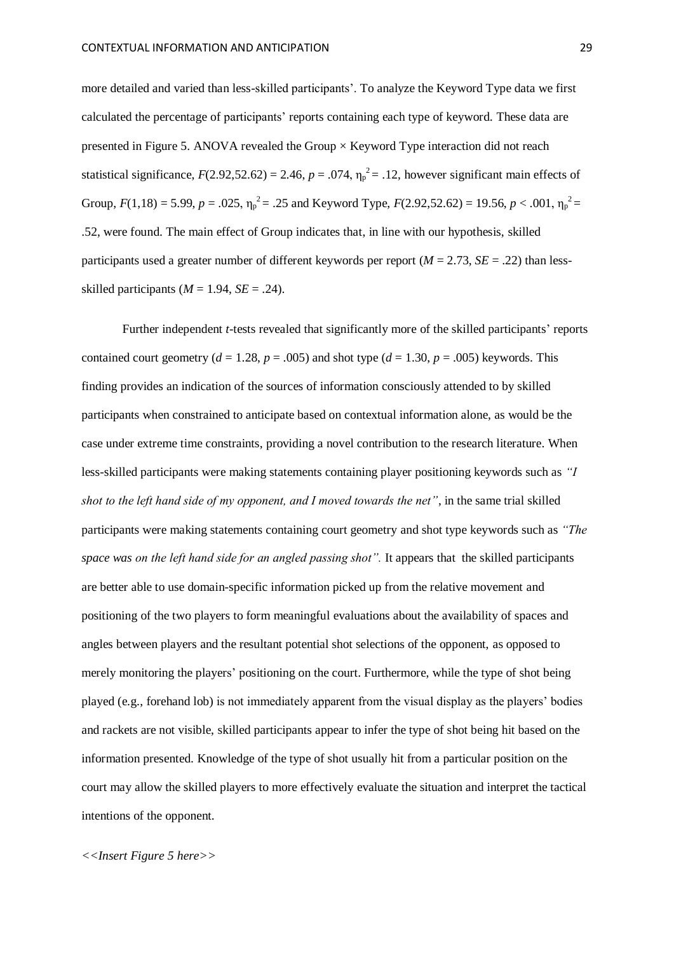more detailed and varied than less-skilled participants'. To analyze the Keyword Type data we first calculated the percentage of participants' reports containing each type of keyword. These data are presented in Figure 5. ANOVA revealed the Group  $\times$  Keyword Type interaction did not reach statistical significance,  $F(2.92,52.62) = 2.46$ ,  $p = .074$ ,  $\eta_p^2 = .12$ , however significant main effects of Group,  $F(1,18) = 5.99$ ,  $p = .025$ ,  $\eta_p^2 = .25$  and Keyword Type,  $F(2.92, 52.62) = 19.56$ ,  $p < .001$ ,  $\eta_p^2 =$ .52, were found. The main effect of Group indicates that, in line with our hypothesis, skilled participants used a greater number of different keywords per report ( $M = 2.73$ ,  $SE = .22$ ) than lessskilled participants ( $M = 1.94$ ,  $SE = .24$ ).

Further independent *t*-tests revealed that significantly more of the skilled participants' reports contained court geometry ( $d = 1.28$ ,  $p = .005$ ) and shot type ( $d = 1.30$ ,  $p = .005$ ) keywords. This finding provides an indication of the sources of information consciously attended to by skilled participants when constrained to anticipate based on contextual information alone, as would be the case under extreme time constraints, providing a novel contribution to the research literature. When less-skilled participants were making statements containing player positioning keywords such as *"I shot to the left hand side of my opponent, and I moved towards the net"*, in the same trial skilled participants were making statements containing court geometry and shot type keywords such as *"The space was on the left hand side for an angled passing shot".* It appears that the skilled participants are better able to use domain-specific information picked up from the relative movement and positioning of the two players to form meaningful evaluations about the availability of spaces and angles between players and the resultant potential shot selections of the opponent, as opposed to merely monitoring the players' positioning on the court. Furthermore, while the type of shot being played (e.g., forehand lob) is not immediately apparent from the visual display as the players' bodies and rackets are not visible, skilled participants appear to infer the type of shot being hit based on the information presented. Knowledge of the type of shot usually hit from a particular position on the court may allow the skilled players to more effectively evaluate the situation and interpret the tactical intentions of the opponent.

## *<<Insert Figure 5 here>>*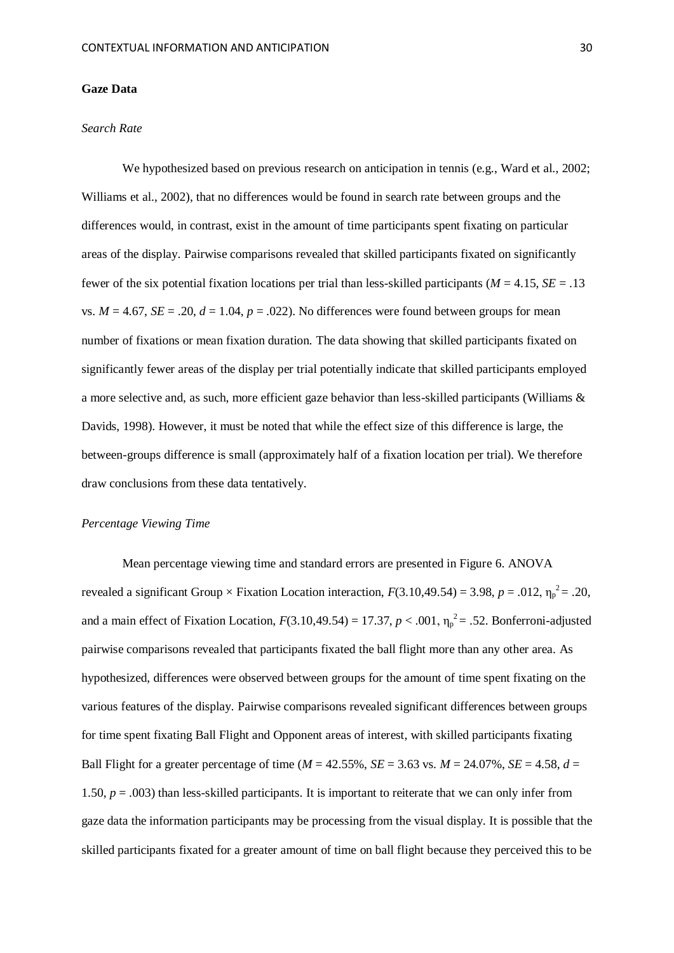#### **Gaze Data**

#### *Search Rate*

We hypothesized based on previous research on anticipation in tennis (e.g., Ward et al., 2002; Williams et al., 2002), that no differences would be found in search rate between groups and the differences would, in contrast, exist in the amount of time participants spent fixating on particular areas of the display. Pairwise comparisons revealed that skilled participants fixated on significantly fewer of the six potential fixation locations per trial than less-skilled participants ( $M = 4.15$ ,  $SE = .13$ vs.  $M = 4.67$ ,  $SE = .20$ ,  $d = 1.04$ ,  $p = .022$ ). No differences were found between groups for mean number of fixations or mean fixation duration. The data showing that skilled participants fixated on significantly fewer areas of the display per trial potentially indicate that skilled participants employed a more selective and, as such, more efficient gaze behavior than less-skilled participants (Williams & Davids, 1998). However, it must be noted that while the effect size of this difference is large, the between-groups difference is small (approximately half of a fixation location per trial). We therefore draw conclusions from these data tentatively.

#### *Percentage Viewing Time*

Mean percentage viewing time and standard errors are presented in Figure 6. ANOVA revealed a significant Group  $\times$  Fixation Location interaction,  $F(3.10,49.54) = 3.98$ ,  $p = .012$ ,  $\eta_p^2 = .20$ , and a main effect of Fixation Location,  $F(3.10, 49.54) = 17.37$ ,  $p < .001$ ,  $\eta_p^2 = .52$ . Bonferroni-adjusted pairwise comparisons revealed that participants fixated the ball flight more than any other area. As hypothesized, differences were observed between groups for the amount of time spent fixating on the various features of the display. Pairwise comparisons revealed significant differences between groups for time spent fixating Ball Flight and Opponent areas of interest, with skilled participants fixating Ball Flight for a greater percentage of time ( $M = 42.55\%$ ,  $SE = 3.63$  vs.  $M = 24.07\%$ ,  $SE = 4.58$ ,  $d =$ 1.50,  $p = .003$ ) than less-skilled participants. It is important to reiterate that we can only infer from gaze data the information participants may be processing from the visual display. It is possible that the skilled participants fixated for a greater amount of time on ball flight because they perceived this to be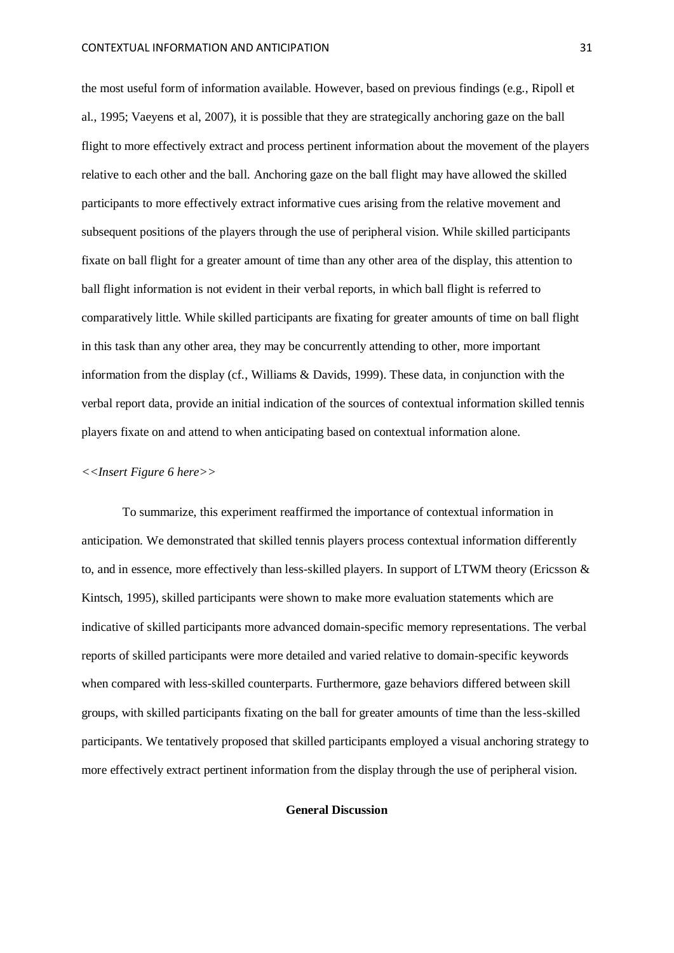the most useful form of information available. However, based on previous findings (e.g., Ripoll et al., 1995; Vaeyens et al, 2007), it is possible that they are strategically anchoring gaze on the ball flight to more effectively extract and process pertinent information about the movement of the players relative to each other and the ball. Anchoring gaze on the ball flight may have allowed the skilled participants to more effectively extract informative cues arising from the relative movement and subsequent positions of the players through the use of peripheral vision. While skilled participants fixate on ball flight for a greater amount of time than any other area of the display, this attention to ball flight information is not evident in their verbal reports, in which ball flight is referred to comparatively little. While skilled participants are fixating for greater amounts of time on ball flight in this task than any other area, they may be concurrently attending to other, more important information from the display (cf., Williams & Davids, 1999). These data, in conjunction with the verbal report data, provide an initial indication of the sources of contextual information skilled tennis players fixate on and attend to when anticipating based on contextual information alone.

#### *<<Insert Figure 6 here>>*

To summarize, this experiment reaffirmed the importance of contextual information in anticipation. We demonstrated that skilled tennis players process contextual information differently to, and in essence, more effectively than less-skilled players. In support of LTWM theory (Ericsson & Kintsch, 1995), skilled participants were shown to make more evaluation statements which are indicative of skilled participants more advanced domain-specific memory representations. The verbal reports of skilled participants were more detailed and varied relative to domain-specific keywords when compared with less-skilled counterparts. Furthermore, gaze behaviors differed between skill groups, with skilled participants fixating on the ball for greater amounts of time than the less-skilled participants. We tentatively proposed that skilled participants employed a visual anchoring strategy to more effectively extract pertinent information from the display through the use of peripheral vision.

# **General Discussion**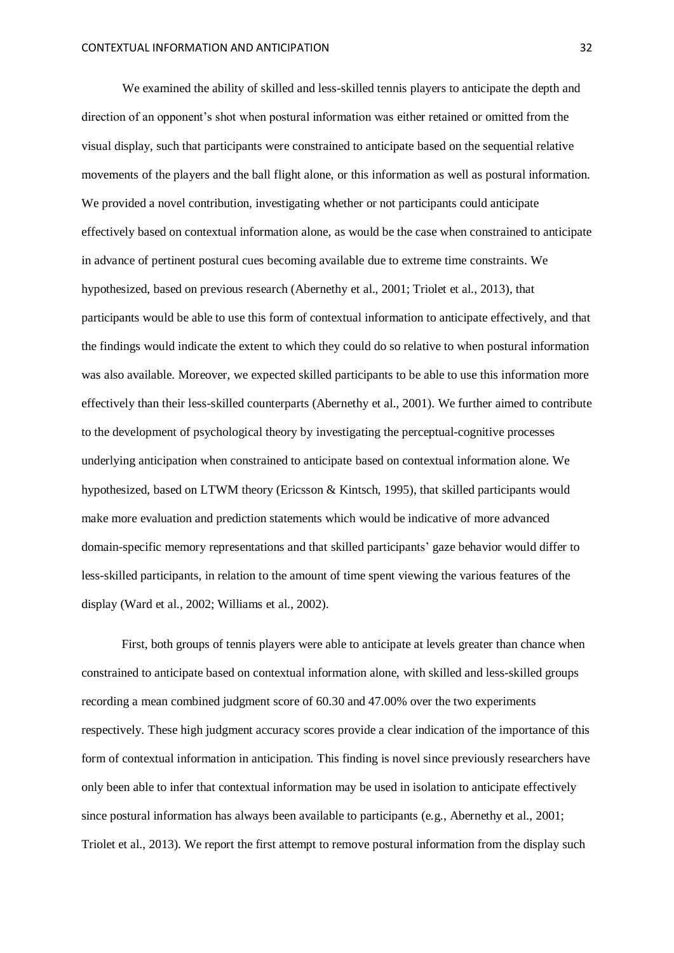We examined the ability of skilled and less-skilled tennis players to anticipate the depth and direction of an opponent's shot when postural information was either retained or omitted from the visual display, such that participants were constrained to anticipate based on the sequential relative movements of the players and the ball flight alone, or this information as well as postural information. We provided a novel contribution, investigating whether or not participants could anticipate effectively based on contextual information alone, as would be the case when constrained to anticipate in advance of pertinent postural cues becoming available due to extreme time constraints. We hypothesized, based on previous research (Abernethy et al., 2001; Triolet et al., 2013), that participants would be able to use this form of contextual information to anticipate effectively, and that the findings would indicate the extent to which they could do so relative to when postural information was also available. Moreover, we expected skilled participants to be able to use this information more effectively than their less-skilled counterparts (Abernethy et al., 2001). We further aimed to contribute to the development of psychological theory by investigating the perceptual-cognitive processes underlying anticipation when constrained to anticipate based on contextual information alone. We hypothesized, based on LTWM theory (Ericsson & Kintsch, 1995), that skilled participants would make more evaluation and prediction statements which would be indicative of more advanced domain-specific memory representations and that skilled participants' gaze behavior would differ to less-skilled participants, in relation to the amount of time spent viewing the various features of the display (Ward et al., 2002; Williams et al., 2002).

First, both groups of tennis players were able to anticipate at levels greater than chance when constrained to anticipate based on contextual information alone, with skilled and less-skilled groups recording a mean combined judgment score of 60.30 and 47.00% over the two experiments respectively. These high judgment accuracy scores provide a clear indication of the importance of this form of contextual information in anticipation. This finding is novel since previously researchers have only been able to infer that contextual information may be used in isolation to anticipate effectively since postural information has always been available to participants (e.g., Abernethy et al., 2001; Triolet et al., 2013). We report the first attempt to remove postural information from the display such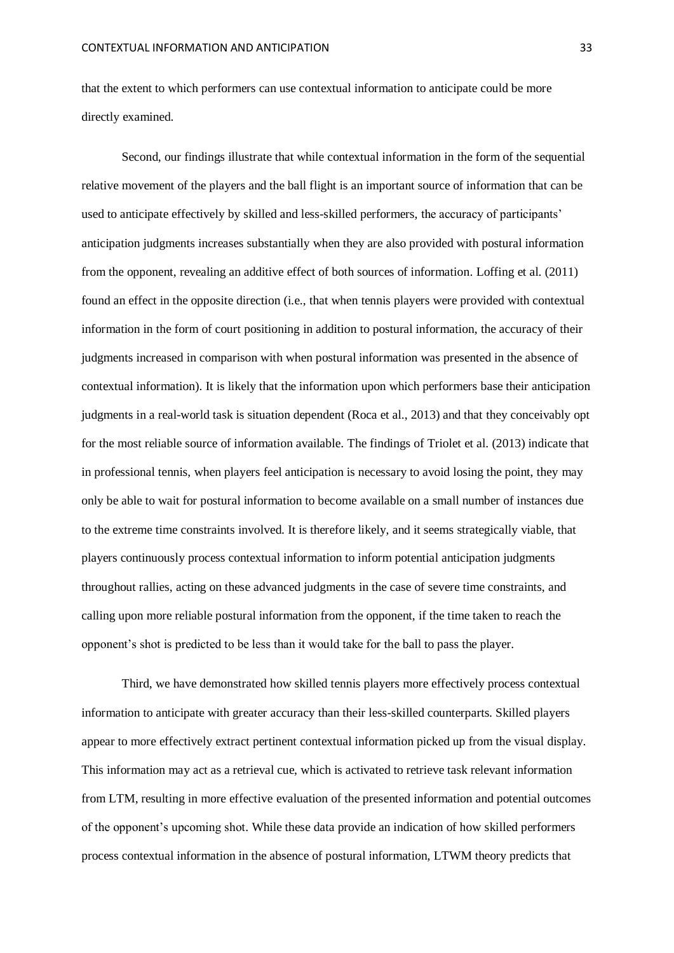that the extent to which performers can use contextual information to anticipate could be more directly examined.

Second, our findings illustrate that while contextual information in the form of the sequential relative movement of the players and the ball flight is an important source of information that can be used to anticipate effectively by skilled and less-skilled performers, the accuracy of participants' anticipation judgments increases substantially when they are also provided with postural information from the opponent, revealing an additive effect of both sources of information. Loffing et al. (2011) found an effect in the opposite direction (i.e., that when tennis players were provided with contextual information in the form of court positioning in addition to postural information, the accuracy of their judgments increased in comparison with when postural information was presented in the absence of contextual information). It is likely that the information upon which performers base their anticipation judgments in a real-world task is situation dependent (Roca et al., 2013) and that they conceivably opt for the most reliable source of information available. The findings of Triolet et al. (2013) indicate that in professional tennis, when players feel anticipation is necessary to avoid losing the point, they may only be able to wait for postural information to become available on a small number of instances due to the extreme time constraints involved. It is therefore likely, and it seems strategically viable, that players continuously process contextual information to inform potential anticipation judgments throughout rallies, acting on these advanced judgments in the case of severe time constraints, and calling upon more reliable postural information from the opponent, if the time taken to reach the opponent's shot is predicted to be less than it would take for the ball to pass the player.

Third, we have demonstrated how skilled tennis players more effectively process contextual information to anticipate with greater accuracy than their less-skilled counterparts. Skilled players appear to more effectively extract pertinent contextual information picked up from the visual display. This information may act as a retrieval cue, which is activated to retrieve task relevant information from LTM, resulting in more effective evaluation of the presented information and potential outcomes of the opponent's upcoming shot. While these data provide an indication of how skilled performers process contextual information in the absence of postural information, LTWM theory predicts that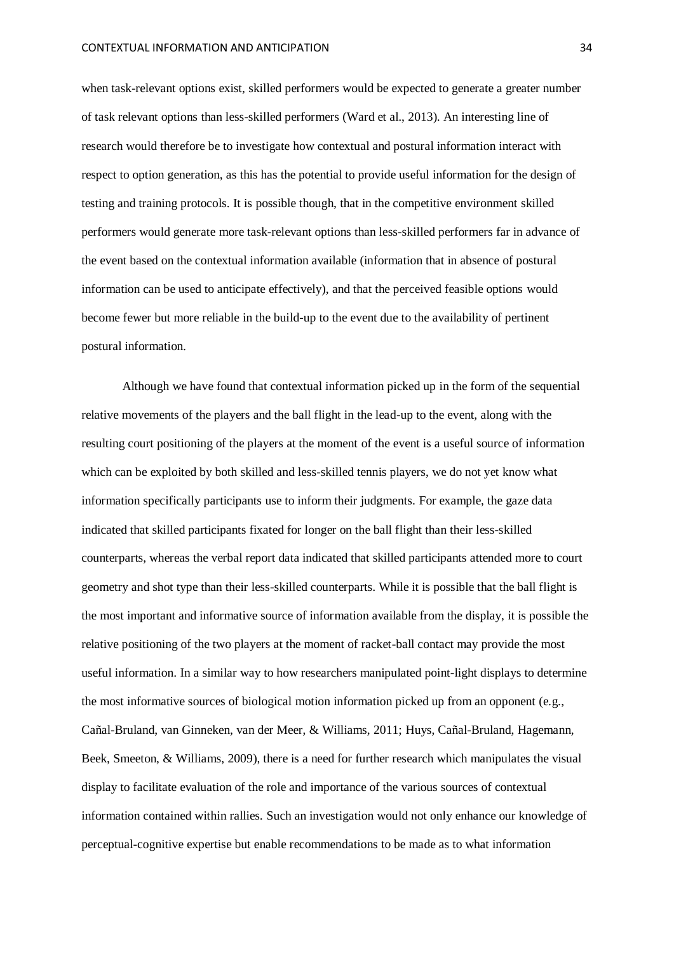when task-relevant options exist, skilled performers would be expected to generate a greater number of task relevant options than less-skilled performers (Ward et al., 2013). An interesting line of research would therefore be to investigate how contextual and postural information interact with respect to option generation, as this has the potential to provide useful information for the design of testing and training protocols. It is possible though, that in the competitive environment skilled performers would generate more task-relevant options than less-skilled performers far in advance of the event based on the contextual information available (information that in absence of postural information can be used to anticipate effectively), and that the perceived feasible options would become fewer but more reliable in the build-up to the event due to the availability of pertinent postural information.

Although we have found that contextual information picked up in the form of the sequential relative movements of the players and the ball flight in the lead-up to the event, along with the resulting court positioning of the players at the moment of the event is a useful source of information which can be exploited by both skilled and less-skilled tennis players, we do not yet know what information specifically participants use to inform their judgments. For example, the gaze data indicated that skilled participants fixated for longer on the ball flight than their less-skilled counterparts, whereas the verbal report data indicated that skilled participants attended more to court geometry and shot type than their less-skilled counterparts. While it is possible that the ball flight is the most important and informative source of information available from the display, it is possible the relative positioning of the two players at the moment of racket-ball contact may provide the most useful information. In a similar way to how researchers manipulated point-light displays to determine the most informative sources of biological motion information picked up from an opponent (e.g., Cañal-Bruland, van Ginneken, van der Meer, & Williams, 2011; Huys, Cañal-Bruland, Hagemann, Beek, Smeeton, & Williams, 2009), there is a need for further research which manipulates the visual display to facilitate evaluation of the role and importance of the various sources of contextual information contained within rallies. Such an investigation would not only enhance our knowledge of perceptual-cognitive expertise but enable recommendations to be made as to what information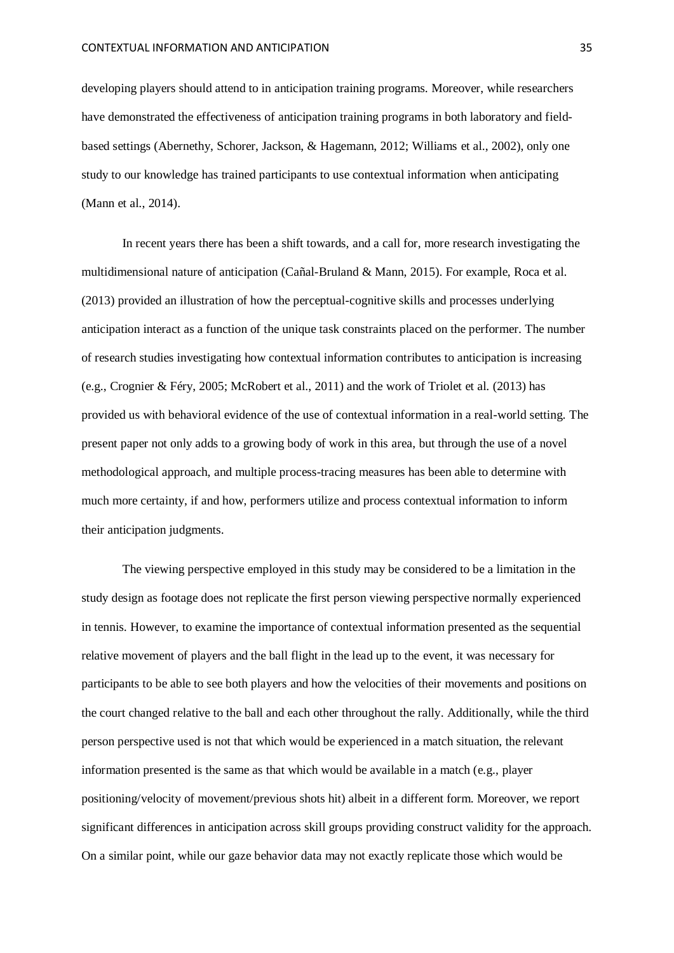developing players should attend to in anticipation training programs. Moreover, while researchers have demonstrated the effectiveness of anticipation training programs in both laboratory and fieldbased settings (Abernethy, Schorer, Jackson, & Hagemann, 2012; Williams et al., 2002), only one study to our knowledge has trained participants to use contextual information when anticipating (Mann et al., 2014).

In recent years there has been a shift towards, and a call for, more research investigating the multidimensional nature of anticipation (Cañal-Bruland & Mann, 2015). For example, Roca et al. (2013) provided an illustration of how the perceptual-cognitive skills and processes underlying anticipation interact as a function of the unique task constraints placed on the performer. The number of research studies investigating how contextual information contributes to anticipation is increasing (e.g., Crognier & Féry, 2005; McRobert et al., 2011) and the work of Triolet et al. (2013) has provided us with behavioral evidence of the use of contextual information in a real-world setting. The present paper not only adds to a growing body of work in this area, but through the use of a novel methodological approach, and multiple process-tracing measures has been able to determine with much more certainty, if and how, performers utilize and process contextual information to inform their anticipation judgments.

The viewing perspective employed in this study may be considered to be a limitation in the study design as footage does not replicate the first person viewing perspective normally experienced in tennis. However, to examine the importance of contextual information presented as the sequential relative movement of players and the ball flight in the lead up to the event, it was necessary for participants to be able to see both players and how the velocities of their movements and positions on the court changed relative to the ball and each other throughout the rally. Additionally, while the third person perspective used is not that which would be experienced in a match situation, the relevant information presented is the same as that which would be available in a match (e.g., player positioning/velocity of movement/previous shots hit) albeit in a different form. Moreover, we report significant differences in anticipation across skill groups providing construct validity for the approach. On a similar point, while our gaze behavior data may not exactly replicate those which would be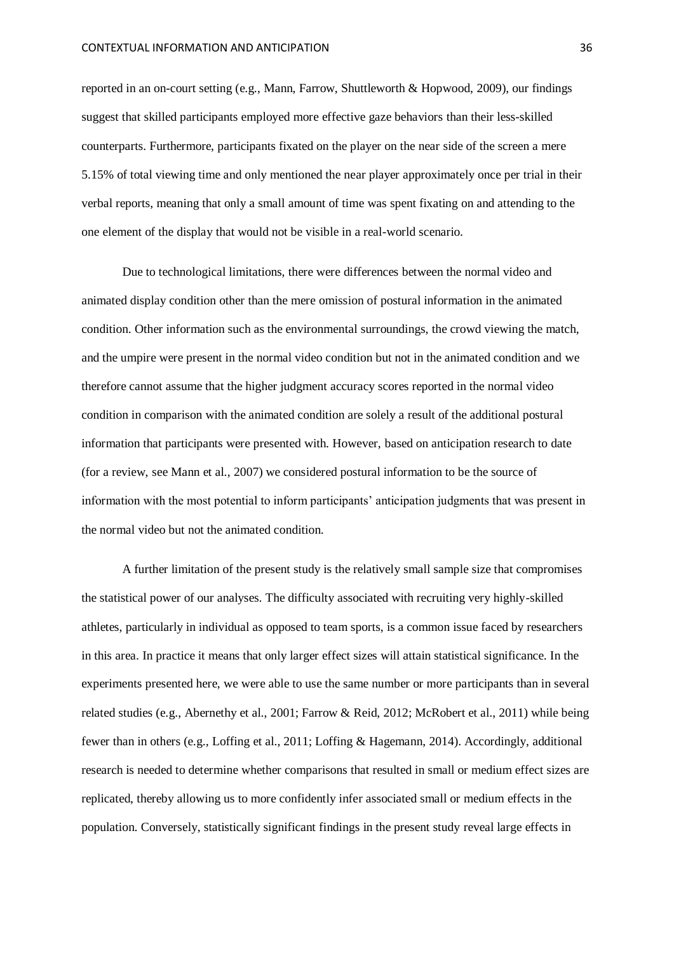reported in an on-court setting (e.g., Mann, Farrow, Shuttleworth & Hopwood, 2009), our findings suggest that skilled participants employed more effective gaze behaviors than their less-skilled counterparts. Furthermore, participants fixated on the player on the near side of the screen a mere 5.15% of total viewing time and only mentioned the near player approximately once per trial in their verbal reports, meaning that only a small amount of time was spent fixating on and attending to the one element of the display that would not be visible in a real-world scenario.

Due to technological limitations, there were differences between the normal video and animated display condition other than the mere omission of postural information in the animated condition. Other information such as the environmental surroundings, the crowd viewing the match, and the umpire were present in the normal video condition but not in the animated condition and we therefore cannot assume that the higher judgment accuracy scores reported in the normal video condition in comparison with the animated condition are solely a result of the additional postural information that participants were presented with. However, based on anticipation research to date (for a review, see Mann et al., 2007) we considered postural information to be the source of information with the most potential to inform participants' anticipation judgments that was present in the normal video but not the animated condition.

A further limitation of the present study is the relatively small sample size that compromises the statistical power of our analyses. The difficulty associated with recruiting very highly-skilled athletes, particularly in individual as opposed to team sports, is a common issue faced by researchers in this area. In practice it means that only larger effect sizes will attain statistical significance. In the experiments presented here, we were able to use the same number or more participants than in several related studies (e.g., Abernethy et al., 2001; Farrow & Reid, 2012; McRobert et al., 2011) while being fewer than in others (e.g., Loffing et al., 2011; Loffing & Hagemann, 2014). Accordingly, additional research is needed to determine whether comparisons that resulted in small or medium effect sizes are replicated, thereby allowing us to more confidently infer associated small or medium effects in the population. Conversely, statistically significant findings in the present study reveal large effects in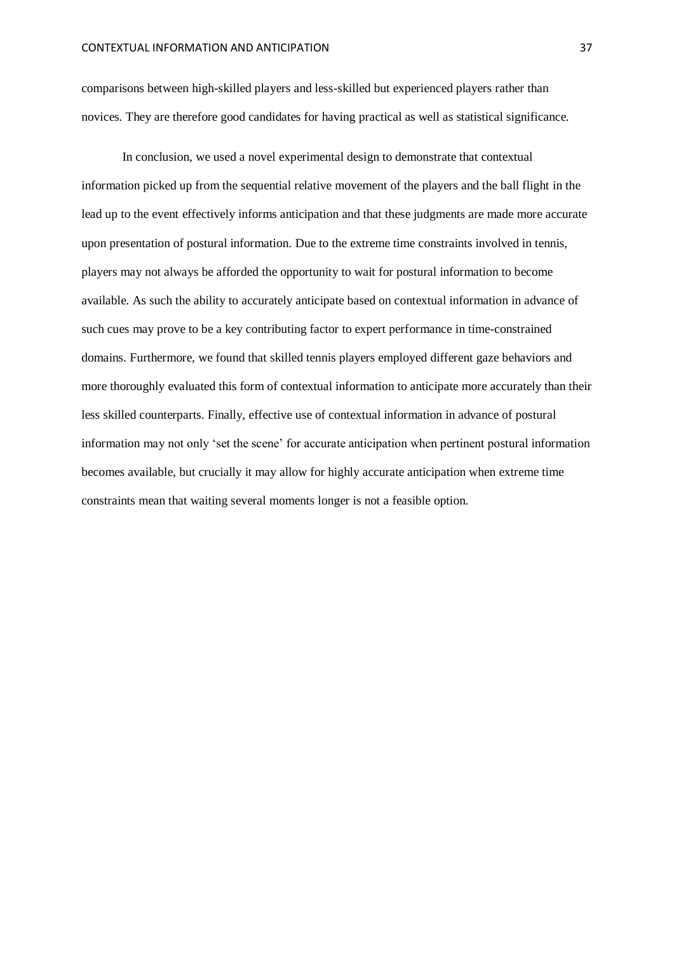comparisons between high-skilled players and less-skilled but experienced players rather than novices. They are therefore good candidates for having practical as well as statistical significance.

In conclusion, we used a novel experimental design to demonstrate that contextual information picked up from the sequential relative movement of the players and the ball flight in the lead up to the event effectively informs anticipation and that these judgments are made more accurate upon presentation of postural information. Due to the extreme time constraints involved in tennis, players may not always be afforded the opportunity to wait for postural information to become available. As such the ability to accurately anticipate based on contextual information in advance of such cues may prove to be a key contributing factor to expert performance in time-constrained domains. Furthermore, we found that skilled tennis players employed different gaze behaviors and more thoroughly evaluated this form of contextual information to anticipate more accurately than their less skilled counterparts. Finally, effective use of contextual information in advance of postural information may not only 'set the scene' for accurate anticipation when pertinent postural information becomes available, but crucially it may allow for highly accurate anticipation when extreme time constraints mean that waiting several moments longer is not a feasible option.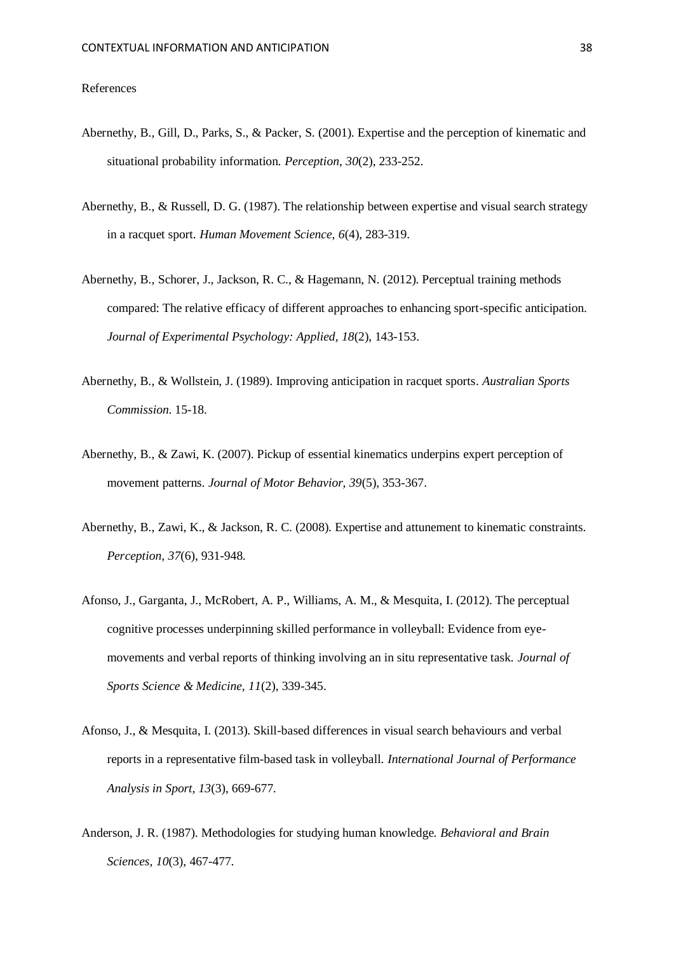#### References

- Abernethy, B., Gill, D., Parks, S., & Packer, S. (2001). Expertise and the perception of kinematic and situational probability information. *Perception, 30*(2), 233-252.
- Abernethy, B., & Russell, D. G. (1987). The relationship between expertise and visual search strategy in a racquet sport. *Human Movement Science, 6*(4), 283-319.
- Abernethy, B., Schorer, J., Jackson, R. C., & Hagemann, N. (2012). Perceptual training methods compared: The relative efficacy of different approaches to enhancing sport-specific anticipation. *Journal of Experimental Psychology: Applied, 18*(2), 143-153.
- Abernethy, B., & Wollstein, J. (1989). Improving anticipation in racquet sports. *Australian Sports Commission*. 15-18.
- Abernethy, B., & Zawi, K. (2007). Pickup of essential kinematics underpins expert perception of movement patterns. *Journal of Motor Behavior, 39*(5), 353-367.
- Abernethy, B., Zawi, K., & Jackson, R. C. (2008). Expertise and attunement to kinematic constraints. *Perception, 37*(6), 931-948.
- Afonso, J., Garganta, J., McRobert, A. P., Williams, A. M., & Mesquita, I. (2012). The perceptual cognitive processes underpinning skilled performance in volleyball: Evidence from eyemovements and verbal reports of thinking involving an in situ representative task. *Journal of Sports Science & Medicine, 11*(2), 339-345.
- Afonso, J., & Mesquita, I. (2013). Skill-based differences in visual search behaviours and verbal reports in a representative film-based task in volleyball. *International Journal of Performance Analysis in Sport, 13*(3), 669-677.
- Anderson, J. R. (1987). Methodologies for studying human knowledge. *Behavioral and Brain Sciences, 10*(3), 467-477.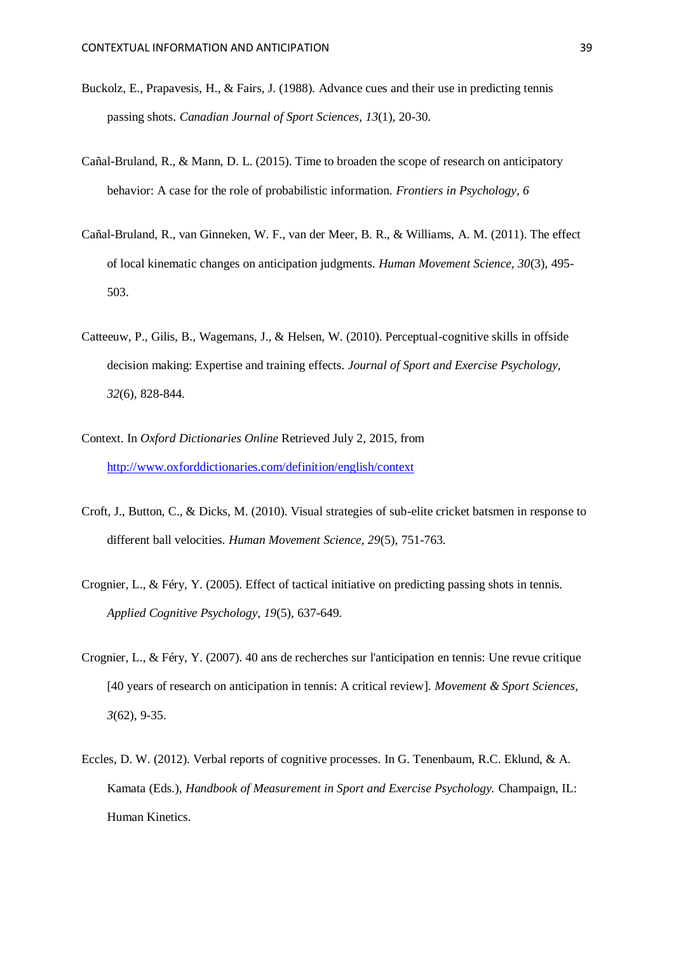- Buckolz, E., Prapavesis, H., & Fairs, J. (1988). Advance cues and their use in predicting tennis passing shots. *Canadian Journal of Sport Sciences, 13*(1), 20-30.
- Cañal-Bruland, R., & Mann, D. L. (2015). Time to broaden the scope of research on anticipatory behavior: A case for the role of probabilistic information. *Frontiers in Psychology, 6*
- Cañal-Bruland, R., van Ginneken, W. F., van der Meer, B. R., & Williams, A. M. (2011). The effect of local kinematic changes on anticipation judgments. *Human Movement Science, 30*(3), 495- 503.
- Catteeuw, P., Gilis, B., Wagemans, J., & Helsen, W. (2010). Perceptual-cognitive skills in offside decision making: Expertise and training effects. *Journal of Sport and Exercise Psychology, 32*(6), 828-844.
- Context. In *Oxford Dictionaries Online* Retrieved July 2, 2015, from <http://www.oxforddictionaries.com/definition/english/context>
- Croft, J., Button, C., & Dicks, M. (2010). Visual strategies of sub-elite cricket batsmen in response to different ball velocities. *Human Movement Science, 29*(5), 751-763.
- Crognier, L., & Féry, Y. (2005). Effect of tactical initiative on predicting passing shots in tennis. *Applied Cognitive Psychology, 19*(5), 637-649.
- Crognier, L., & Féry, Y. (2007). 40 ans de recherches sur l'anticipation en tennis: Une revue critique [40 years of research on anticipation in tennis: A critical review]. *Movement & Sport Sciences, 3*(62), 9-35.
- Eccles, D. W. (2012). Verbal reports of cognitive processes. In G. Tenenbaum, R.C. Eklund, & A. Kamata (Eds.), *Handbook of Measurement in Sport and Exercise Psychology.* Champaign, IL: Human Kinetics.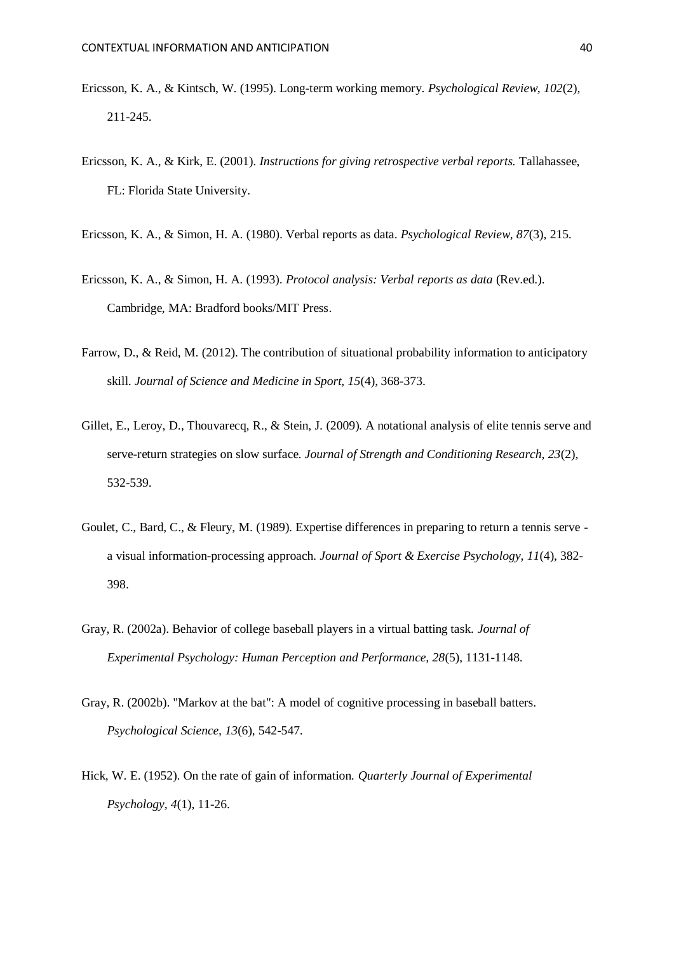- Ericsson, K. A., & Kintsch, W. (1995). Long-term working memory. *Psychological Review, 102*(2), 211-245.
- Ericsson, K. A., & Kirk, E. (2001). *Instructions for giving retrospective verbal reports.* Tallahassee, FL: Florida State University.
- Ericsson, K. A., & Simon, H. A. (1980). Verbal reports as data. *Psychological Review, 87*(3), 215.
- Ericsson, K. A., & Simon, H. A. (1993). *Protocol analysis: Verbal reports as data* (Rev.ed.). Cambridge, MA: Bradford books/MIT Press.
- Farrow, D., & Reid, M. (2012). The contribution of situational probability information to anticipatory skill. *Journal of Science and Medicine in Sport, 15*(4), 368-373.
- Gillet, E., Leroy, D., Thouvarecq, R., & Stein, J. (2009). A notational analysis of elite tennis serve and serve-return strategies on slow surface. *Journal of Strength and Conditioning Research, 23*(2), 532-539.
- Goulet, C., Bard, C., & Fleury, M. (1989). Expertise differences in preparing to return a tennis serve a visual information-processing approach. *Journal of Sport & Exercise Psychology, 11*(4), 382- 398.
- Gray, R. (2002a). Behavior of college baseball players in a virtual batting task. *Journal of Experimental Psychology: Human Perception and Performance, 28*(5), 1131-1148.
- Gray, R. (2002b). "Markov at the bat": A model of cognitive processing in baseball batters. *Psychological Science, 13*(6), 542-547.
- Hick, W. E. (1952). On the rate of gain of information. *Quarterly Journal of Experimental Psychology, 4*(1), 11-26.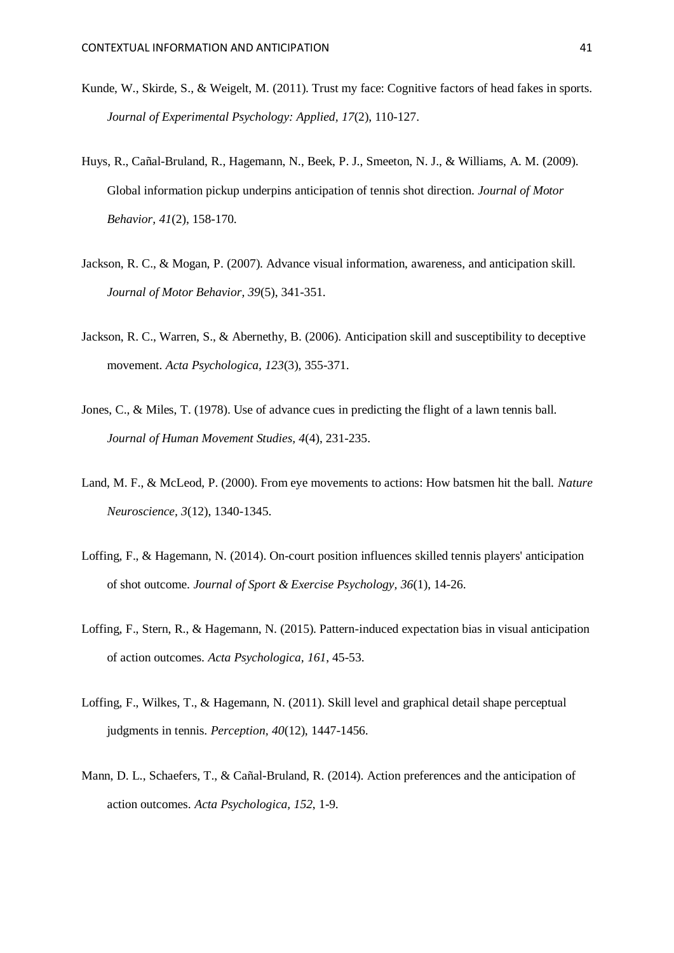- Kunde, W., Skirde, S., & Weigelt, M. (2011). Trust my face: Cognitive factors of head fakes in sports. *Journal of Experimental Psychology: Applied, 17*(2), 110-127.
- Huys, R., Cañal-Bruland, R., Hagemann, N., Beek, P. J., Smeeton, N. J., & Williams, A. M. (2009). Global information pickup underpins anticipation of tennis shot direction. *Journal of Motor Behavior, 41*(2), 158-170.
- Jackson, R. C., & Mogan, P. (2007). Advance visual information, awareness, and anticipation skill. *Journal of Motor Behavior, 39*(5), 341-351.
- Jackson, R. C., Warren, S., & Abernethy, B. (2006). Anticipation skill and susceptibility to deceptive movement. *Acta Psychologica, 123*(3), 355-371.
- Jones, C., & Miles, T. (1978). Use of advance cues in predicting the flight of a lawn tennis ball. *Journal of Human Movement Studies, 4*(4), 231-235.
- Land, M. F., & McLeod, P. (2000). From eye movements to actions: How batsmen hit the ball. *Nature Neuroscience, 3*(12), 1340-1345.
- Loffing, F., & Hagemann, N. (2014). On-court position influences skilled tennis players' anticipation of shot outcome. *Journal of Sport & Exercise Psychology, 36*(1), 14-26.
- Loffing, F., Stern, R., & Hagemann, N. (2015). Pattern-induced expectation bias in visual anticipation of action outcomes. *Acta Psychologica, 161*, 45-53.
- Loffing, F., Wilkes, T., & Hagemann, N. (2011). Skill level and graphical detail shape perceptual judgments in tennis. *Perception, 40*(12), 1447-1456.
- Mann, D. L., Schaefers, T., & Cañal-Bruland, R. (2014). Action preferences and the anticipation of action outcomes. *Acta Psychologica, 152*, 1-9.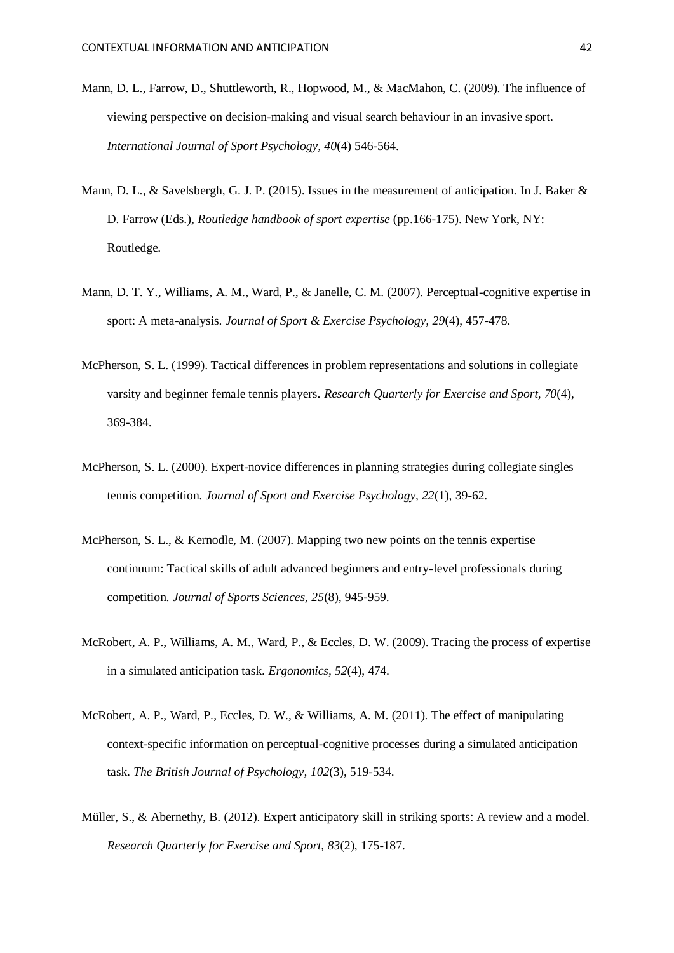- Mann, D. L., Farrow, D., Shuttleworth, R., Hopwood, M., & MacMahon, C. (2009). The influence of viewing perspective on decision-making and visual search behaviour in an invasive sport. *International Journal of Sport Psychology, 40*(4) 546-564.
- Mann, D. L., & Savelsbergh, G. J. P. (2015). Issues in the measurement of anticipation. In J. Baker & D. Farrow (Eds.), *Routledge handbook of sport expertise* (pp.166-175). New York, NY: Routledge.
- Mann, D. T. Y., Williams, A. M., Ward, P., & Janelle, C. M. (2007). Perceptual-cognitive expertise in sport: A meta-analysis. *Journal of Sport & Exercise Psychology, 29*(4), 457-478.
- McPherson, S. L. (1999). Tactical differences in problem representations and solutions in collegiate varsity and beginner female tennis players. *Research Quarterly for Exercise and Sport, 70*(4), 369-384.
- McPherson, S. L. (2000). Expert-novice differences in planning strategies during collegiate singles tennis competition. *Journal of Sport and Exercise Psychology, 22*(1), 39-62.
- McPherson, S. L., & Kernodle, M. (2007). Mapping two new points on the tennis expertise continuum: Tactical skills of adult advanced beginners and entry-level professionals during competition. *Journal of Sports Sciences, 25*(8), 945-959.
- McRobert, A. P., Williams, A. M., Ward, P., & Eccles, D. W. (2009). Tracing the process of expertise in a simulated anticipation task. *Ergonomics, 52*(4), 474.
- McRobert, A. P., Ward, P., Eccles, D. W., & Williams, A. M. (2011). The effect of manipulating context-specific information on perceptual-cognitive processes during a simulated anticipation task. *The British Journal of Psychology, 102*(3), 519-534.
- Müller, S., & Abernethy, B. (2012). Expert anticipatory skill in striking sports: A review and a model. *Research Quarterly for Exercise and Sport, 83*(2), 175-187.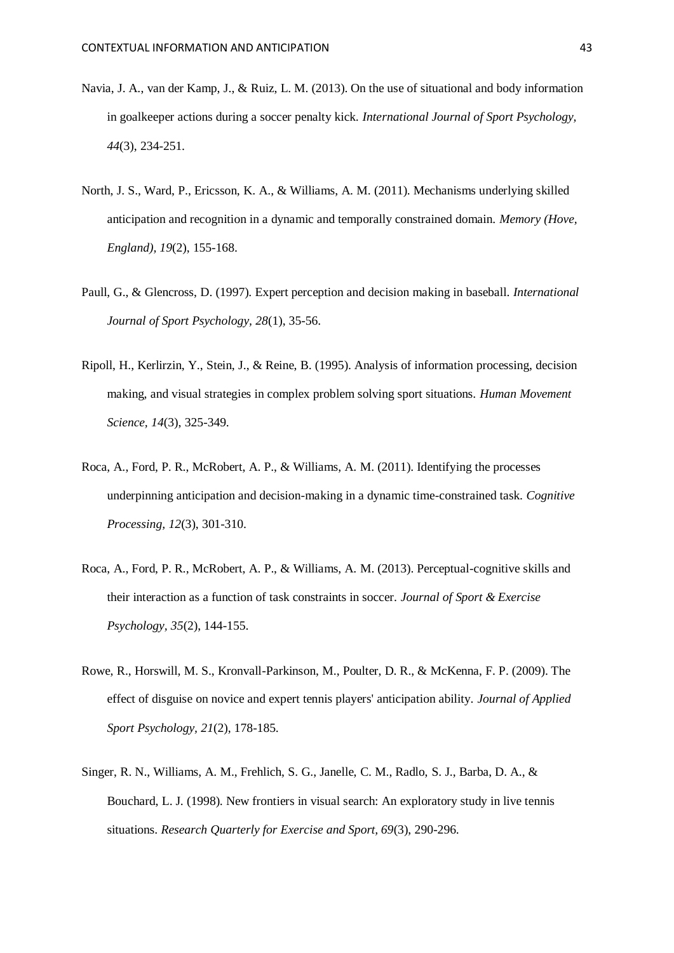- Navia, J. A., van der Kamp, J., & Ruiz, L. M. (2013). On the use of situational and body information in goalkeeper actions during a soccer penalty kick. *International Journal of Sport Psychology, 44*(3), 234-251.
- North, J. S., Ward, P., Ericsson, K. A., & Williams, A. M. (2011). Mechanisms underlying skilled anticipation and recognition in a dynamic and temporally constrained domain. *Memory (Hove, England), 19*(2), 155-168.
- Paull, G., & Glencross, D. (1997). Expert perception and decision making in baseball. *International Journal of Sport Psychology, 28*(1), 35-56.
- Ripoll, H., Kerlirzin, Y., Stein, J., & Reine, B. (1995). Analysis of information processing, decision making, and visual strategies in complex problem solving sport situations. *Human Movement Science, 14*(3), 325-349.
- Roca, A., Ford, P. R., McRobert, A. P., & Williams, A. M. (2011). Identifying the processes underpinning anticipation and decision-making in a dynamic time-constrained task. *Cognitive Processing, 12*(3), 301-310.
- Roca, A., Ford, P. R., McRobert, A. P., & Williams, A. M. (2013). Perceptual-cognitive skills and their interaction as a function of task constraints in soccer. *Journal of Sport & Exercise Psychology, 35*(2), 144-155.
- Rowe, R., Horswill, M. S., Kronvall-Parkinson, M., Poulter, D. R., & McKenna, F. P. (2009). The effect of disguise on novice and expert tennis players' anticipation ability. *Journal of Applied Sport Psychology, 21*(2), 178-185.
- Singer, R. N., Williams, A. M., Frehlich, S. G., Janelle, C. M., Radlo, S. J., Barba, D. A., & Bouchard, L. J. (1998). New frontiers in visual search: An exploratory study in live tennis situations. *Research Quarterly for Exercise and Sport, 69*(3), 290-296.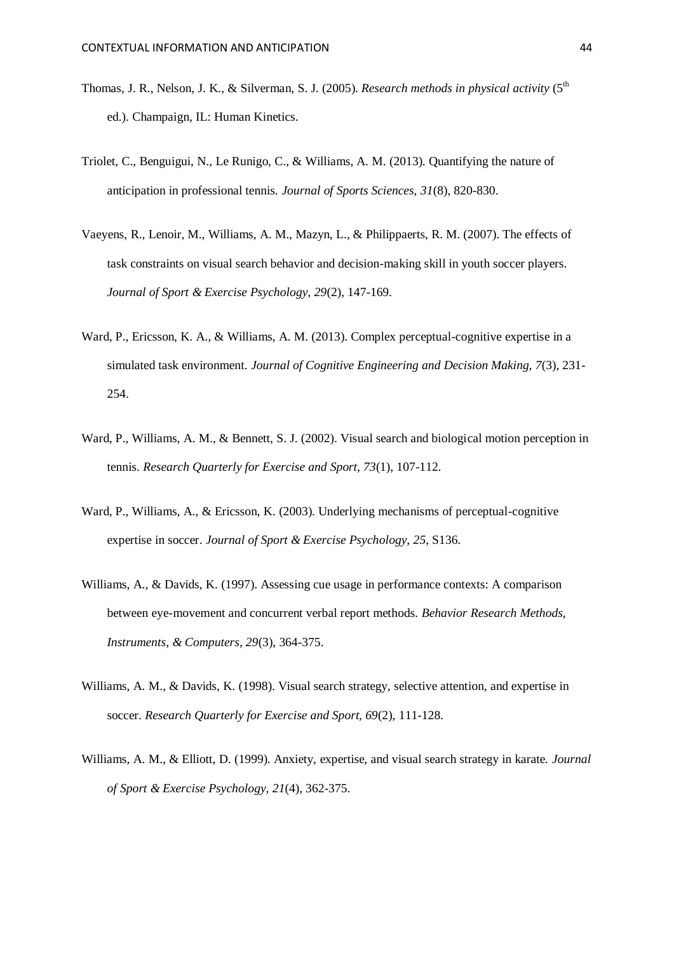- Thomas, J. R., Nelson, J. K., & Silverman, S. J. (2005). *Research methods in physical activity* (5<sup>th</sup>) ed.). Champaign, IL: Human Kinetics.
- Triolet, C., Benguigui, N., Le Runigo, C., & Williams, A. M. (2013). Quantifying the nature of anticipation in professional tennis. *Journal of Sports Sciences, 31*(8), 820-830.
- Vaeyens, R., Lenoir, M., Williams, A. M., Mazyn, L., & Philippaerts, R. M. (2007). The effects of task constraints on visual search behavior and decision-making skill in youth soccer players. *Journal of Sport & Exercise Psychology, 29*(2), 147-169.
- Ward, P., Ericsson, K. A., & Williams, A. M. (2013). Complex perceptual-cognitive expertise in a simulated task environment. *Journal of Cognitive Engineering and Decision Making, 7*(3), 231- 254.
- Ward, P., Williams, A. M., & Bennett, S. J. (2002). Visual search and biological motion perception in tennis. *Research Quarterly for Exercise and Sport, 73*(1), 107-112.
- Ward, P., Williams, A., & Ericsson, K. (2003). Underlying mechanisms of perceptual-cognitive expertise in soccer. *Journal of Sport & Exercise Psychology, 25*, S136.
- Williams, A., & Davids, K. (1997). Assessing cue usage in performance contexts: A comparison between eye-movement and concurrent verbal report methods. *Behavior Research Methods, Instruments, & Computers, 29*(3), 364-375.
- Williams, A. M., & Davids, K. (1998). Visual search strategy, selective attention, and expertise in soccer. *Research Quarterly for Exercise and Sport, 69*(2), 111-128.
- Williams, A. M., & Elliott, D. (1999). Anxiety, expertise, and visual search strategy in karate. *Journal of Sport & Exercise Psychology, 21*(4), 362-375.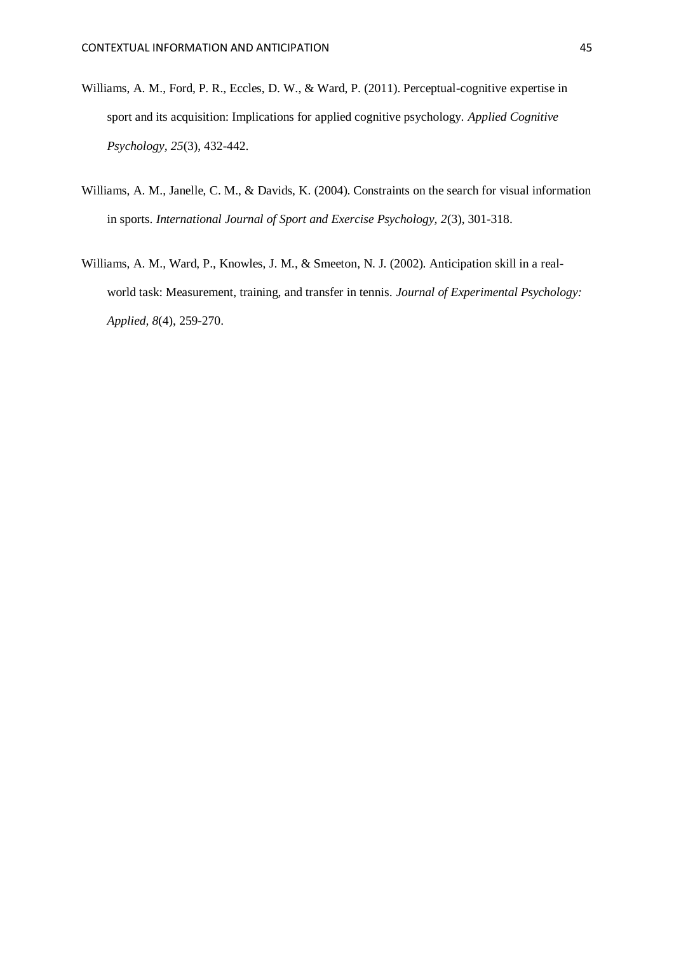- Williams, A. M., Ford, P. R., Eccles, D. W., & Ward, P. (2011). Perceptual-cognitive expertise in sport and its acquisition: Implications for applied cognitive psychology. *Applied Cognitive Psychology, 25*(3), 432-442.
- Williams, A. M., Janelle, C. M., & Davids, K. (2004). Constraints on the search for visual information in sports. *International Journal of Sport and Exercise Psychology, 2*(3), 301-318.
- Williams, A. M., Ward, P., Knowles, J. M., & Smeeton, N. J. (2002). Anticipation skill in a realworld task: Measurement, training, and transfer in tennis. *Journal of Experimental Psychology: Applied, 8*(4), 259-270.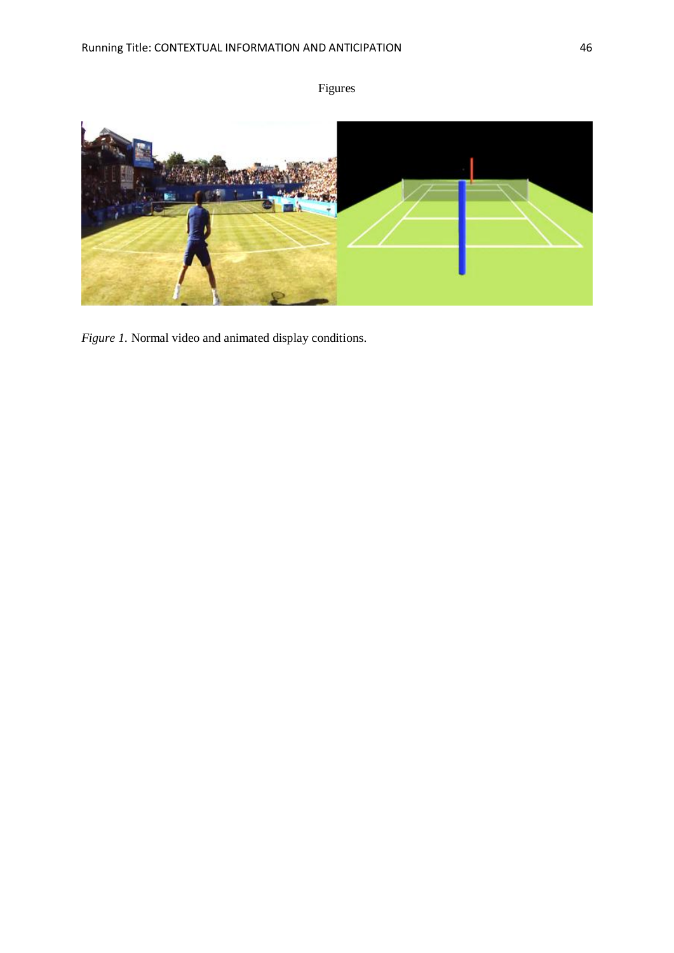



*Figure 1.* Normal video and animated display conditions.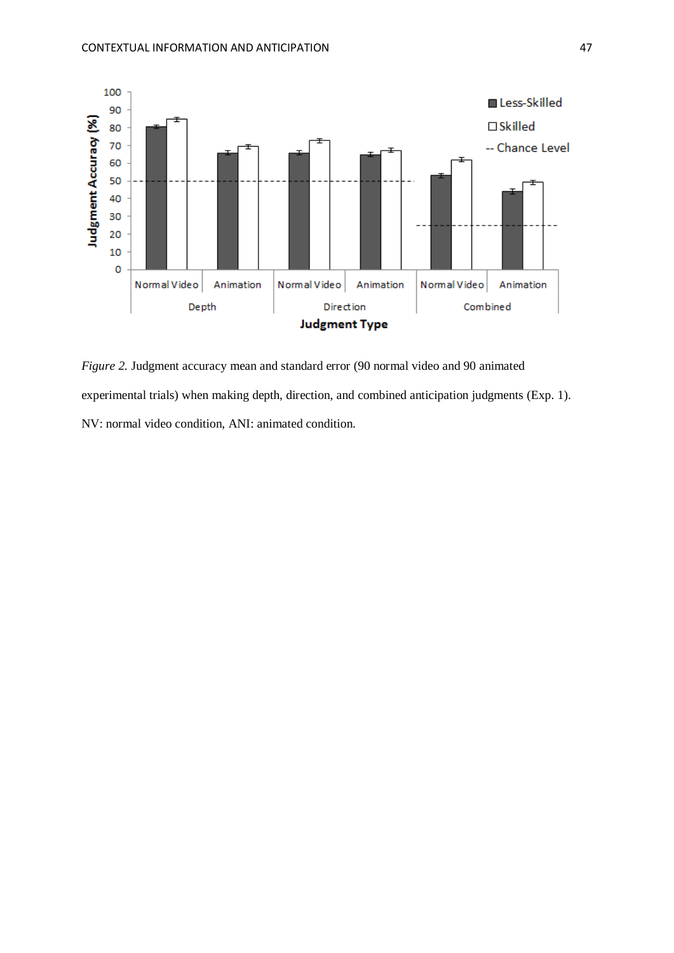

*Figure 2.* Judgment accuracy mean and standard error (90 normal video and 90 animated experimental trials) when making depth, direction, and combined anticipation judgments (Exp. 1). NV: normal video condition, ANI: animated condition.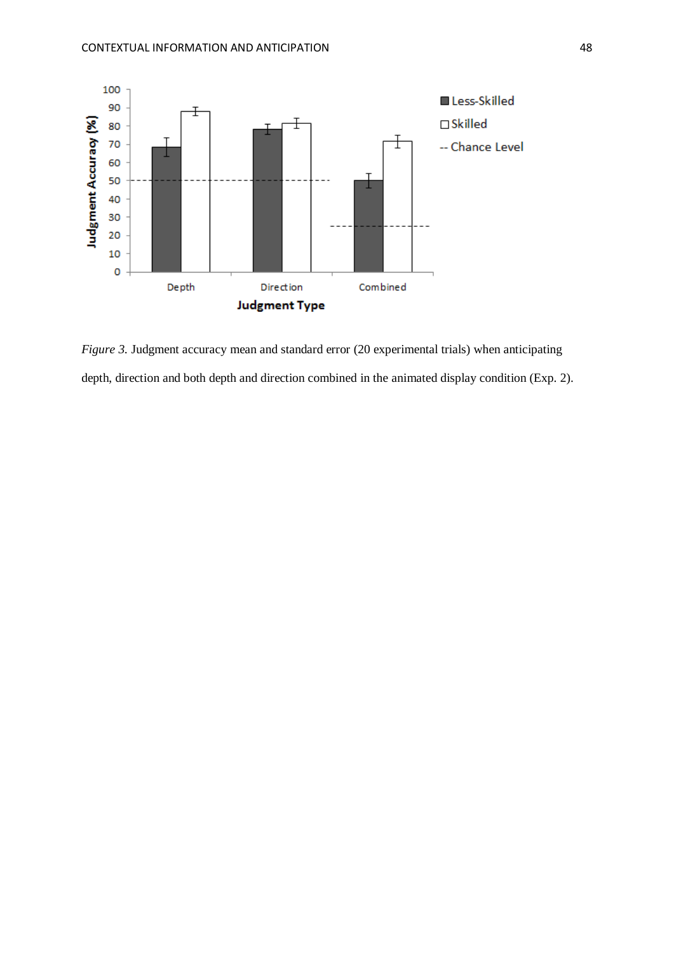

*Figure 3.* Judgment accuracy mean and standard error (20 experimental trials) when anticipating depth, direction and both depth and direction combined in the animated display condition (Exp. 2).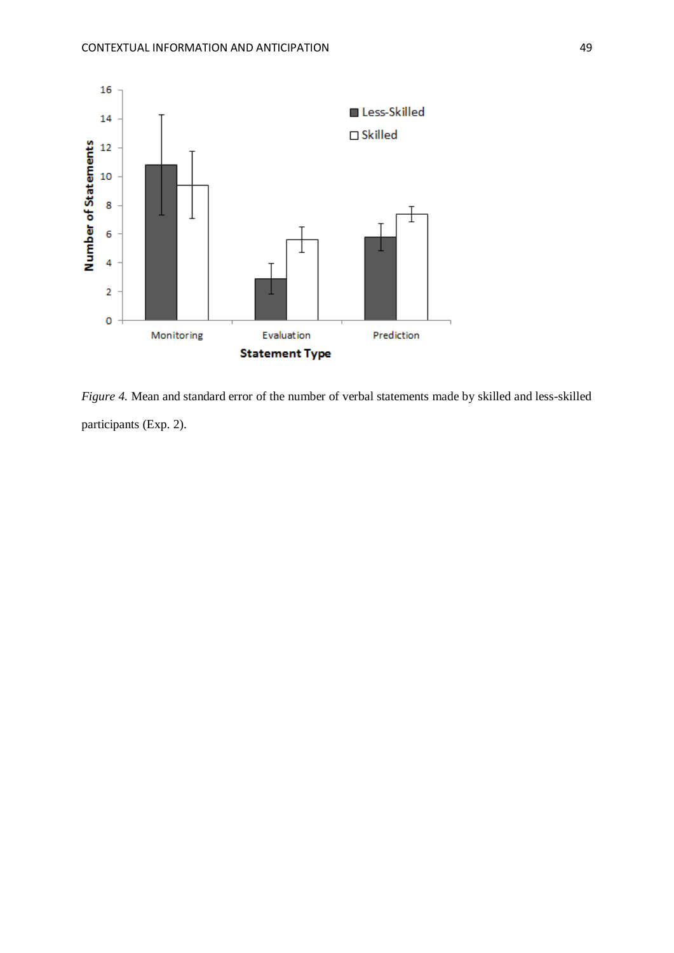

*Figure 4.* Mean and standard error of the number of verbal statements made by skilled and less-skilled participants (Exp. 2).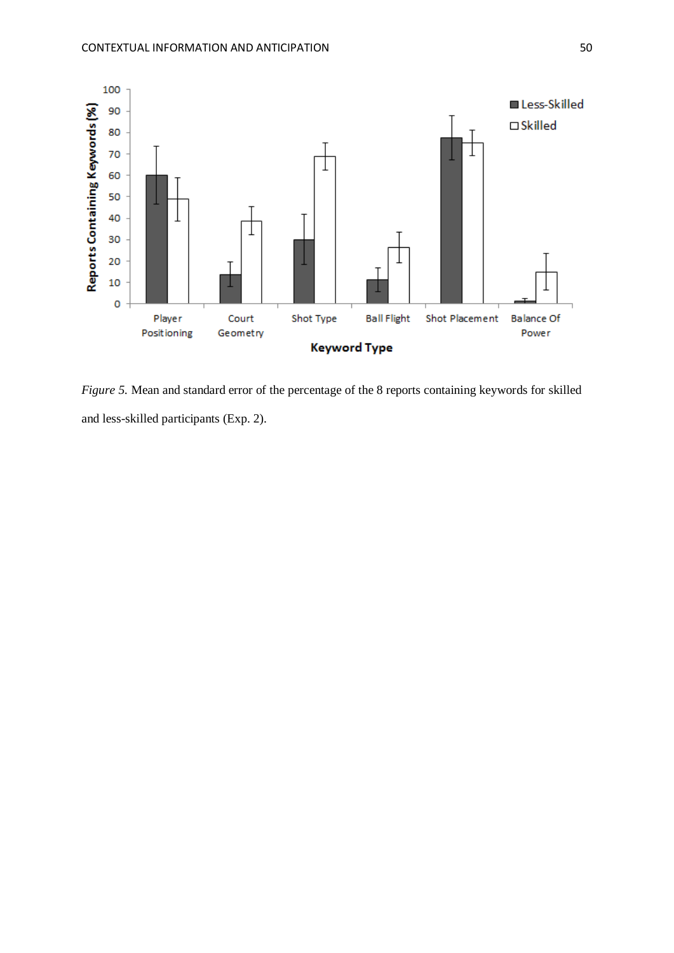

*Figure 5.* Mean and standard error of the percentage of the 8 reports containing keywords for skilled and less-skilled participants (Exp. 2).